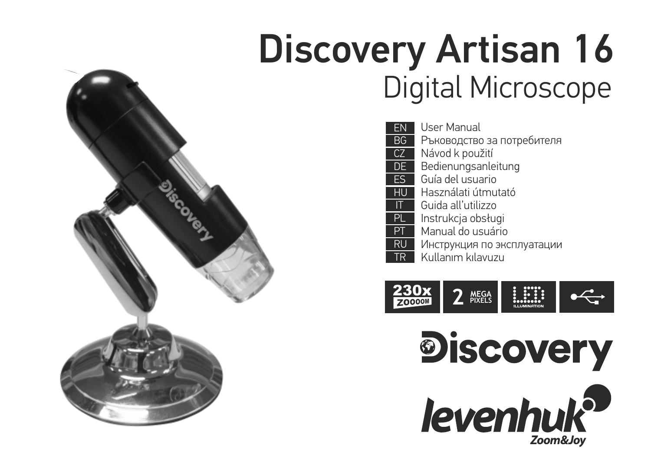# Discovery Artisan 16 Digital Microscope



| EN        | User Manual                |
|-----------|----------------------------|
| <b>BG</b> | Ръководство за потребителя |
| CZ        | Návod k použití            |
| <b>DE</b> | Bedienungsanleitung        |
| <b>ES</b> | Guía del usuario           |
| HU        | Használati útmutató        |
| IΤ        | Guida all'utilizzo         |
| PL        | Instrukcja obsługi         |
| PT        | Manual do usuário          |
| RU        | Инструкция по эксплуатации |
| <b>TR</b> | Kullanım kılavuzu          |
|           |                            |



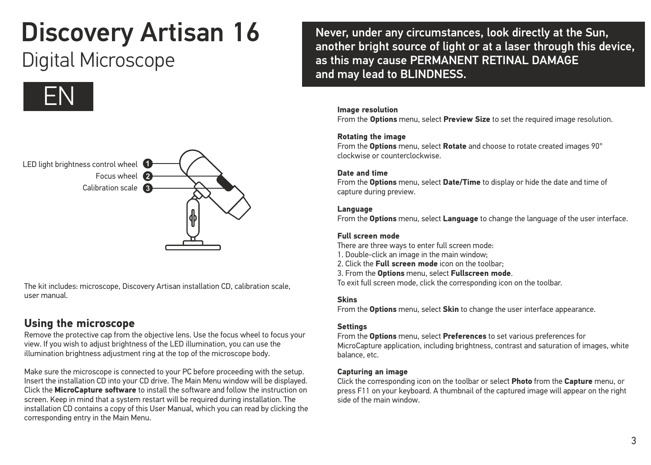## Digital Microscope





The kit includes: microscope, Discovery Artisan installation CD, calibration scale, user manual.

## **Using the microscope**

view. If you wish to adjust brightness of the LED illumination, you can use the illumination brightness adjustment ring at the top of the microscope body. Remove the protective cap from the objective lens. Use the focus wheel to focus your

Make sure the microscope is connected to your PC before proceeding with the setup. Insert the installation CD into your CD drive. The Main Menu window will be displayed. Click the **MicroCapture software** to install the software and follow the instruction on screen. Keep in mind that a system restart will be required during installation. The installation CD contains a copy of this User Manual, which you can read by clicking the corresponding entry in the Main Menu.

Never, under any circumstances, look directly at the Sun, another bright source of light or at a laser through this device, as this may cause PERMANENT RETINAL DAMAGE and may lead to BLINDNESS.

#### **Image resolution**

From the **Options** menu, select **Preview Size** to set the required image resolution.

#### **Rotating the image**

From the **Options** menu, select **Rotate** and choose to rotate created images 90° clockwise or counterclockwise.

#### **Date and time**

From the **Options** menu, select **Date/Time** to display or hide the date and time of capture during preview.

#### **Language**

From the **Options** menu, select **Language** to change the language of the user interface.

#### **Full screen mode**

There are three ways to enter full screen mode:

- 1. Double-click an image in the main window;
- 2. Click the **Full screen mode** icon on the toolbar;

3. From the **Options** menu, select **Fullscreen mode**.

To exit full screen mode, click the corresponding icon on the toolbar.

#### **Skins**

From the **Options** menu, select **Skin** to change the user interface appearance.

#### **Settings**

From the **Options** menu, select **Preferences** to set various preferences for MicroCapture application, including brightness, contrast and saturation of images, white balance, etc.

#### **Capturing an image**

Click the corresponding icon on the toolbar or select **Photo** from the **Capture** menu, or press F11 on your keyboard. A thumbnail of the captured image will appear on the right side of the main window.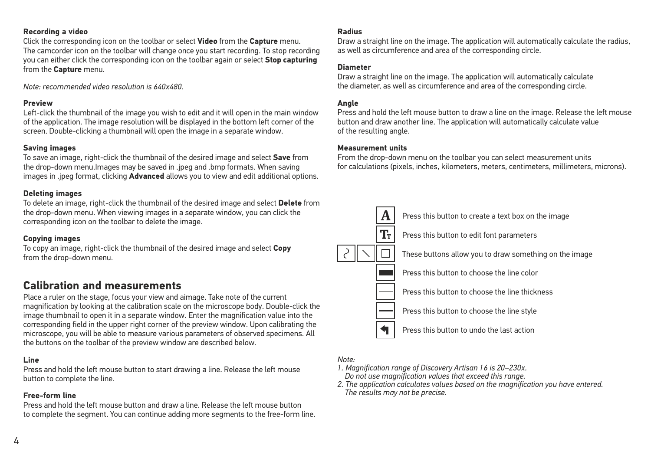#### **Recording a video**

Click the corresponding icon on the toolbar or select **Video** from the **Capture** menu. The camcorder icon on the toolbar will change once you start recording. To stop recording you can either click the corresponding icon on the toolbar again or select **Stop capturing**  from the **Capture** menu.

*Note: recommended video resolution is 640x480.*

#### **Preview**

Left-click the thumbnail of the image you wish to edit and it will open in the main window of the application. The image resolution will be displayed in the bottom left corner of the screen. Double-clicking a thumbnail will open the image in a separate window.

#### **Saving images**

To save an image, right-click the thumbnail of the desired image and select **Save** from the drop-down menu.Images may be saved in .jpeg and .bmp formats. When saving images in .jpeg format, clicking **Advanced** allows you to view and edit additional options.

#### **Deleting images**

To delete an image, right-click the thumbnail of the desired image and select **Delete** from the drop-down menu. When viewing images in a separate window, you can click the corresponding icon on the toolbar to delete the image.

#### **Copying images**

from the drop-down menu. To copy an image, right-click the thumbnail of the desired image and select **Copy**

## **Calibration and measurements**

Place a ruler on the stage, focus your view and aimage. Take note of the current magnification by looking at the calibration scale on the microscope body. Double-click the image thumbnail to open it in a separate window. Enter the magnification value into the corresponding field in the upper right corner of the preview window. Upon calibrating the microscope, you will be able to measure various parameters of observed specimens. All the buttons on the toolbar of the preview window are described below.

#### **Line**

Press and hold the left mouse button to start drawing a line. Release the left mouse button to complete the line.

#### **Free-form line**

to complete the segment. You can continue adding more segments to the free-form line. Press and hold the left mouse button and draw a line. Release the left mouse button

#### **Radius**

Draw a straight line on the image. The application will automatically calculate the radius, as well as circumference and area of the corresponding circle.

#### **Diameter**

Draw a straight line on the image. The application will automatically calculate the diameter, as well as circumference and area of the corresponding circle.

#### **Angle**

Press and hold the left mouse button to draw a line on the image. Release the left mouse button and draw another line. The application will automatically calculate value of the resulting angle.

#### **Measurement units**

From the drop-down menu on the toolbar you can select measurement units for calculations (pixels, inches, kilometers, meters, centimeters, millimeters, microns).



#### *Note:*

 *Do not use magnification values that exceed this range. 1. Magnification range of Discovery Artisan 16 is 20–230x.* 

*2. The application calculates values based on the magnification you have entered. The results may not be precise.*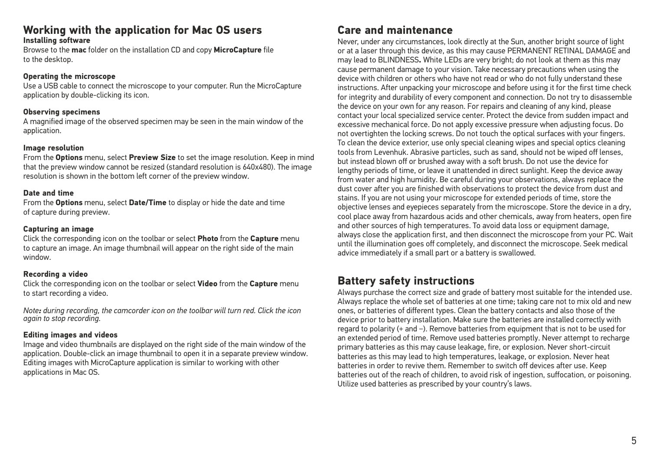#### **Installing software Working with the application for Mac OS users**

Browse to the **mac** folder on the installation CD and copy **MicroCapture** file to the desktop.

#### **Operating the microscope**

Use a USB cable to connect the microscope to your computer. Run the MicroCapture application by double-clicking its icon.

#### **Observing specimens**

A magnified image of the observed specimen may be seen in the main window of the application.

#### **Image resolution**

From the **Options** menu, select **Preview Size** to set the image resolution. Keep in mind that the preview window cannot be resized (standard resolution is 640x480). The image resolution is shown in the bottom left corner of the preview window.

#### **Date and time**

From the **Options** menu, select **Date/Time** to display or hide the date and time of capture during preview.

#### **Capturing an image**

to capture an image. An image thumbnail will appear on the right side of the main window. Click the corresponding icon on the toolbar or select **Photo** from the **Capture** menu

#### **Recording a video**

Click the corresponding icon on the toolbar or select **Video** from the **Capture** menu to start recording a video.

*Note: during recording, the camcorder icon on the toolbar will turn red. Click the icon again to stop recording.*

#### **Editing images and videos**

Image and video thumbnails are displayed on the right side of the main window of the application. Double-click an image thumbnail to open it in a separate preview window. Editing images with MicroCapture application is similar to working with other applications in Mac OS.

## **Care and maintenance**

Never, under any circumstances, look directly at the Sun, another bright source of light or at a laser through this device, as this may cause PERMANENT RETINAL DAMAGE and may lead to BLINDNESS**.** White LEDs are very bright; do not look at them as this may cause permanent damage to your vision. Take necessary precautions when using the device with children or others who have not read or who do not fully understand these instructions. After unpacking your microscope and before using it for the first time check for integrity and durability of every component and connection. Do not try to disassemble the device on your own for any reason. For repairs and cleaning of any kind, please contact your local specialized service center. Protect the device from sudden impact and excessive mechanical force. Do not apply excessive pressure when adjusting focus. Do not overtighten the locking screws. Do not touch the optical surfaces with your fingers. To clean the device exterior, use only special cleaning wipes and special optics cleaning tools from Levenhuk. Abrasive particles, such as sand, should not be wiped off lenses, but instead blown off or brushed away with a soft brush. Do not use the device for lengthy periods of time, or leave it unattended in direct sunlight. Keep the device away from water and high humidity. Be careful during your observations, always replace the dust cover after you are finished with observations to protect the device from dust and stains. If you are not using your microscope for extended periods of time, store the objective lenses and eyepieces separately from the microscope. Store the device in a dry, cool place away from hazardous acids and other chemicals, away from heaters, open fire and other sources of high temperatures. To avoid data loss or equipment damage, always close the application first, and then disconnect the microscope from your PC. Wait until the illumination goes off completely, and disconnect the microscope. Seek medical advice immediately if a small part or a battery is swallowed.

## **Battery safety instructions**

Always purchase the correct size and grade of battery most suitable for the intended use. Always replace the whole set of batteries at one time; taking care not to mix old and new ones, or batteries of different types. Clean the battery contacts and also those of the device prior to battery installation. Make sure the batteries are installed correctly with regard to polarity (+ and −). Remove batteries from equipment that is not to be used for an extended period of time. Remove used batteries promptly. Never attempt to recharge primary batteries as this may cause leakage, fire, or explosion. Never short-circuit batteries as this may lead to high temperatures, leakage, or explosion. Never heat batteries in order to revive them. Remember to switch off devices after use. Keep batteries out of the reach of children, to avoid risk of ingestion, suffocation, or poisoning. Utilize used batteries as prescribed by your country's laws.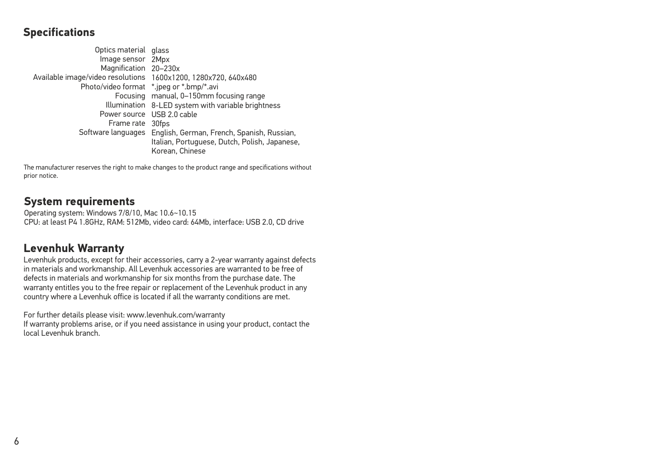### **Specifications**

Optics material glass Image sensor 2Mpx Magnification 20–230х Available image/video resolutions 1600x1200, 1280x720, 640x480 Photo/video format \*.jpeg or \*.bmp/\*.avi Focusing manual, 0–150mm focusing range Illumination 8-LED system with variable brightness Power source USB 2.0 cable Frame rate 30fps Software languages English, German, French, Spanish, Russian, Italian, Portuguese, Dutch, Polish, Japanese, Korean, Chinese

The manufacturer reserves the right to make changes to the product range and specifications without prior notice.

### **System requirements**

Operating system: Windows 7/8/10, Mac 10.6~10.15 CPU:at least P4 1.8GHz, RAM: 512Mb, video card: 64Mb, interface:USB 2.0, CD drive

## **Levenhuk Warranty**

Levenhuk products, except for their accessories, carry a 2-year warranty against defects in materials and workmanship. All Levenhuk accessories are warranted to be free of defects in materials and workmanship for six months from the purchase date. The warranty entitles you to the free repair or replacement of the Levenhuk product in any country where a Levenhuk office is located if all the warranty conditions are met.

For further details please visit: www.levenhuk.com/warranty

If warranty problems arise, or if you need assistance in using your product, contact the local Levenhuk branch.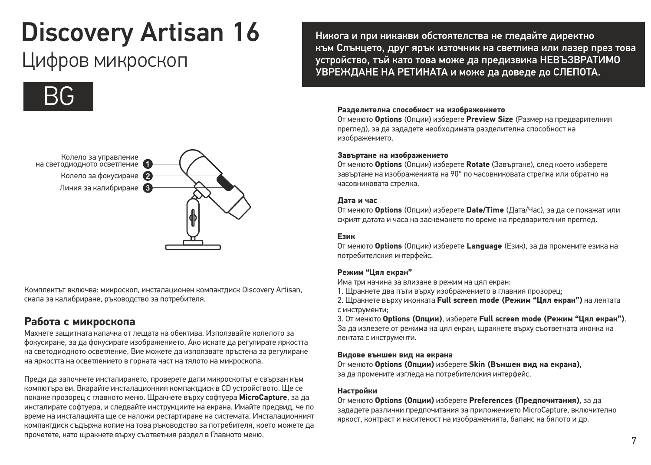## Цифров микроскоп





Комплектът включва: микроскоп, инсталационен компактдиск Discovery Artisan, скала за калибриране, ръководство за потребителя.

## **Работа с микроскопа**

Махнете защитната капачка от лещата на обектива. Използвайте колелото за фокусиране, за да фокусирате изображението. Ако искате да регулирате яркостта на светодиодното осветление, Вие можете да използвате пръстена за регулиране на яркостта на осветлението в горната част на тялото на микроскопа.

Преди да започнете инсталирането, проверете дали микроскопът е свързан към компютъра ви. Вкарайте инсталационния компактдиск в CD устройството. Ще се покаже прозорец с главното меню. Щракнете върху софтуера **MicroCapture**, за да инсталирате софтуера, и следвайте инструкциите на екрана. Имайте предвид, че по време на инсталацията ще се наложи рестартиране на системата. Инсталационният компактдиск съдържа копие на това ръководство за потребителя, което можете да прочетете, като щракнете върху съответния раздел в Главното меню.

Никога и при никакви обстоятелства не гледайте директно към Слънцето, друг ярък източник на светлина или лазер през това устройство, тъй като това може да предизвика НЕВЪЗВРАТИМО УВРЕЖДАНЕ НА РЕТИНАТА и може да доведе до СЛЕПОТА.

#### **Разделителна способност на изображението**

От менюто **Options** (Опции) изберете **Preview Size** (Размер на предварителния преглед), за да зададете необходимата разделителна способност на изображението.

#### **Завъртане на изображението**

От менюто **Options** (Опции) изберете **Rotate** (Завъртане), след което изберете завъртане на изображенията на 90° по часовниковата стрелка или обратно на часовниковата стрелка.

#### **Дата и час**

От менюто **Options** (Опции) изберете **Date/Time** (Дата/Час), за да се покажат или скрият датата и часа на заснемането по време на предварителния преглед.

#### **Език**

От менюто **Options** (Опции) изберете **Language** (Език), за да промените езика на потребителския интерфейс.

#### **Режим "Цял екран"**

Има три начина за влизане в режим на цял екран:

1. Щракнете два пъти върху изображението в главния прозорец;

2. Щракнете върху иконката **Full screen mode (Режим "Цял екран")** на лентата с инструменти;

3. От менюто **Options (Опции)**, изберете **Full screen mode (Режим "Цял екран")**. За да излезете от режима на цял екран, щракнете върху съответната иконка на лентата с инструменти.

#### **Видове външен вид на екрана**

за да промените изгледа на потребителския интерфейс. От менюто **Options (Опции)** изберете **Skin (Външен вид на екрана)**,

#### **Настройки**

#### От менюто **Options (Опции)** изберете **Preferences (Предпочитания)**, за да зададете различни предпочитания за приложението MicroCapture, включително яркост, контраст и наситеност на изображенията, баланс на бялото и др.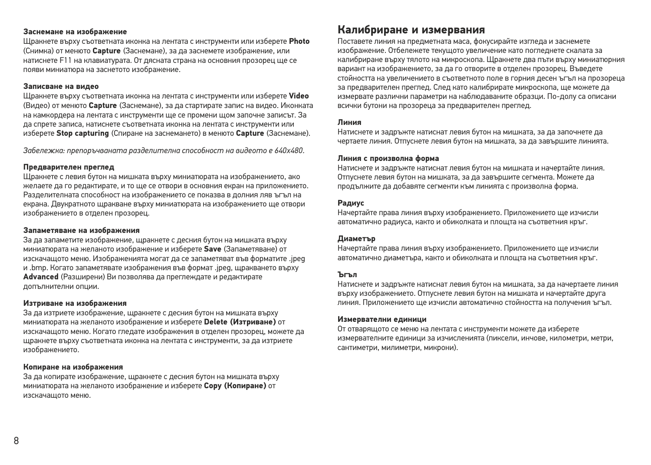#### **Заснемане на изображение**

Щракнете върху съответната иконка на лентата с инструменти или изберете **Photo**  (Снимка) от менюто **Capture** (Заснемане), за да заснемете изображение, или натиснете F11 на клавиатурата. От дясната страна на основния прозорец ще се появи миниатюра на заснетото изображение.

#### **Записване на видео**

Щракнете върху съответната иконка на лентата с инструменти или изберете **Video**  (Видео) от менюто **Capture** (Заснемане), за да стартирате запис на видео. Иконката на камкордера на лентата с инструменти ще се промени щом започне записът. За да спрете записа, натиснете съответната иконка на лентата с инструменти или изберете **Stop capturing** (Спиране на заснемането) в менюто **Capture** (Заснемане).

*Забележка: препоръчваната разделителна способност на видеото е 640x480.*

#### **Предварителен преглед**

Щракнете с левия бутон на мишката върху миниатюрата на изображението, ако желаете да го редактирате, и то ще се отвори в основния екран на приложението. Разделителната способност на изображението се показва в долния ляв ъгъл на екрана. Двукратното щракване върху миниатюрата на изображението ще отвори изображението в отделен прозорец.

#### **Запаметяване на изображения**

допълнителни опции. За да запаметите изображение, щракнете с десния бутон на мишката върху миниатюрата на желаното изображение и изберете **Save** (Запаметяване) от изскачащото меню. Изображенията могат да се запаметяват във форматите .jpeg и .bmp. Когато запаметявате изображения във формат .jpeg, щракването върху **Advanced** (Разширени) Ви позволява да преглеждате и редактирате

#### **Изтриване на изображения**

За да изтриете изображение, щракнете с десния бутон на мишката върху миниатюрата на желаното изображение и изберете **Delete (Изтриване)** от изскачащото меню. Когато гледате изображения в отделен прозорец, можете да щракнете върху съответната иконка на лентата с инструменти, за да изтриете изображението.

#### **Копиране на изображения**

За да копирате изображение, щракнете с десния бутон на мишката върху миниатюрата на желаното изображение и изберете **Copy (Копиране)** от изскачащото меню.

### **Калибриране и измервания**

Поставете линия на предметната маса, фокусирайте изгледа и заснемете изображение. Отбележете текущото увеличение като погледнете скалата за калибриране върху тялото на микроскопа. Щракнете два пъти върху миниатюрния вариант на изображението, за да го отворите в отделен прозорец. Въведете стойността на увеличението в съответното поле в горния десен ъгъл на прозореца за предварителен преглед. След като калибрирате микроскопа, ще можете да измервате различни параметри на наблюдаваните образци. По-долу са описани всички бутони на прозореца за предварителен преглед.

#### **Линия**

Натиснете и задръжте натиснат левия бутон на мишката, за да започнете да чертаете линия. Отпуснете левия бутон на мишката, за да завършите линията.

#### **Линия с произволна форма**

Натиснете и задръжте натиснат левия бутон на мишката и начертайте линия. Отпуснете левия бутон на мишката, за да завършите сегмента. Можете да продължите да добавяте сегменти към линията с произволна форма.

#### **Радиус**

Начертайте права линия върху изображението. Приложението ще изчисли автоматично радиуса, както и обиколката и площта на съответния кръг.

#### **Диаметър**

Начертайте права линия върху изображението. Приложението ще изчисли автоматично диаметъра, както и обиколката и площта на съответния кръг.

#### **Ъгъл**

Натиснете и задръжте натиснат левия бутон на мишката, за да начертаете линия върху изображението. Отпуснете левия бутон на мишката и начертайте друга линия. Приложението ще изчисли автоматично стойността на получения ъгъл.

#### **Измервателни единици**

От отварящото се меню на лентата с инструменти можете да изберете измервателните единици за изчисленията (пиксели, инчове, километри, метри, сантиметри, милиметри, микрони).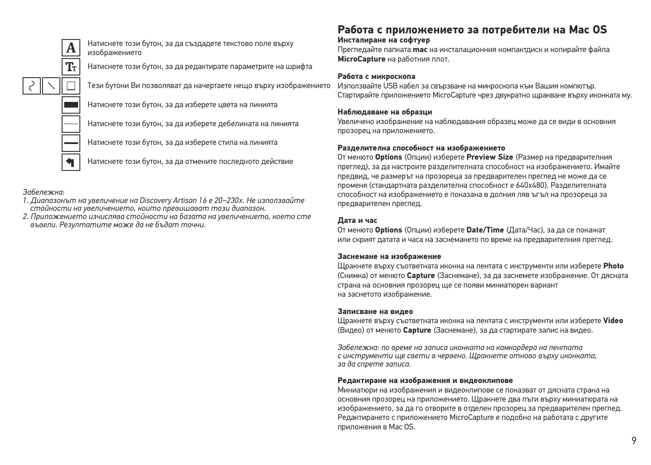

Натиснете този бутон, за да създадете текстово поле върху изображението

Натиснете този бутон, за да редактирате параметрите на шрифта

Тези бутони Ви позволяват да начертаете нещо върху изображението

Натиснете този бутон, за да изберете цвета на линията

Натиснете този бутон, за да изберете дебелината на линията

Натиснете този бутон, за да изберете стила на линията

Натиснете този бутон, за да отмените последното действие

#### *Забележка:*

- *1. Диапазонът на увеличение на Discovery Artisan 16 е 20–230x. Не използвайте стойности на увеличението, които превишават този диапазон.*
- *2. Приложението изчислява стойности на базата на увеличението, което сте въвели. Резултатите може да не бъдат точни.*

## **Работа с приложението за потребители на Mac OS**

#### **Инсталиране на софтуер**

Прегледайте папката **mac** на инсталационния компактдиск и копирайте файла **MicroCapture** на работния плот.

#### **Работа с микроскопа**

Използвайте USB кабел за свързване на микроскопа към Вашия компютър. Стартирайте приложението MicroCapture чрез двукратно щракване върху иконката му.

#### **Наблюдаване на образци**

Увеличено изображение на наблюдавания образец може да се види в основния прозорец на приложението.

#### **Разделителна способност на изображението**

От менюто **Options** (Опции) изберете **Preview Size** (Размер на предварителния преглед), за да настроите разделителната способност на изображението. Имайте предвид, че размерът на прозореца за предварителен преглед не може да се променя (стандартната разделителна способност е 640x480). Разделителната способност на изображението е показана в долния ляв ъгъл на прозореца за предварителен преглед.

#### **Дата и час**

От менюто **Options** (Опции) изберете **Date/Time** (Дата/Час), за да се покажат или скрият датата и часа на заснемането по време на предварителния преглед.

#### **Заснемане на изображение**

Щракнете върху съответната иконка на лентата с инструменти или изберете **Photo**  (Снимка) от менюто **Capture** (Заснемане), за да заснемете изображение. От дясната страна на основния прозорец ще се появи миниатюрен вариант на заснетото изображение.

#### **Записване на видео**

Щракнете върху съответната иконка на лентата с инструменти или изберете **Video**  (Видео) от менюто **Capture** (Заснемане), за да стартирате запис на видео.

*Забележка: по време на записа иконката на камкордера на лентата с инструменти ще свети в червено. Щракнете отново върху иконката, за да спрете записа.*

#### **Редактиране на изображения и видеоклипове**

Миниатюри на изображения и видеоклипове се показват от дясната страна на основния прозорец на приложението. Щракнете два пъти върху миниатюрата на изображението, за да го отворите в отделен прозорец за предварителен преглед. Редактирането с приложението MicroCapture е подобно на работата с другите приложения в Mac OS.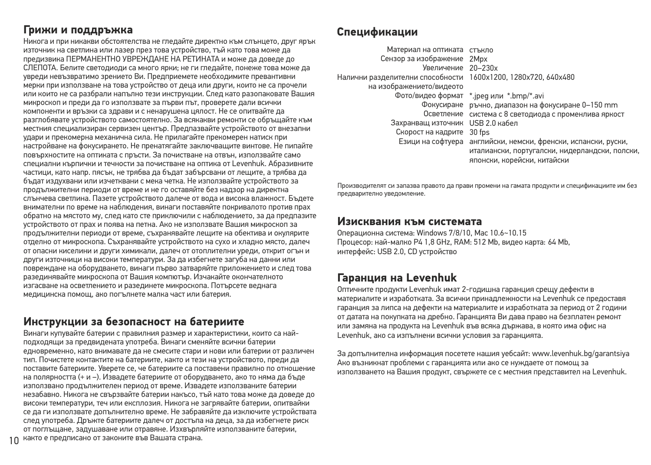### **Грижи и поддръжка**

Никога и при никакви обстоятелства не гледайте директно към слънцето, друг ярък източник на светлина или лазер през това устройство, тъй като това може да предизвика ПЕРМАНЕНТНО УВРЕЖДАНЕ НА РЕТИНАТА и може да доведе до СЛЕПОТА. Белите светодиоди са много ярки; не ги гледайте, понеже това може да увреди невъзвратимо зрението Ви. Предприемете необходимите превантивни мерки при използване на това устройство от деца или други, които не са прочели или които не са разбрали напълно тези инструкции. След като разопаковате Вашия микроскоп и преди да го използвате за първи път, проверете дали всички компоненти и връзки са здрави и с ненарушена цялост. Не се опитвайте да разглобявате устройството самостоятелно. За всякакви ремонти се обръщайте към местния специализиран сервизен център. Предпазвайте устройството от внезапни удари и прекомерна механична сила. Не прилагайте прекомерен натиск при настройване на фокусирането. Не пренатягайте заключващите винтове. Не пипайте повърхностите на оптиката с пръсти. За почистване на отвън, използвайте само специални кърпички и течности за почистване на оптика от Levenhuk. Абразивните частици, като напр. пясък, не трябва да бъдат забърсвани от лещите, а трябва да бъдат издухвани или изчетквани с мека четка. Не използвайте устройството за продължителни периоди от време и не го оставяйте без надзор на директна слънчева светлина. Пазете устройството далече от вода и висока влажност. Бъдете внимателни по време на наблюдения, винаги поставяйте покривалото против прах обратно на мястото му, след като сте приключили с наблюдението, за да предпазите устройството от прах и поява на петна. Ако не използвате Вашия микроскоп за продължителни периоди от време, съхранявайте лещите на обектива и окулярите отделно от микроскопа. Съхранявайте устройството на сухо и хладно място, далеч от опасни киселини и други химикали, далеч от отоплителни уреди, открит огън и други източници на високи температури. За да избегнете загуба на данни или повреждане на оборудването, винаги първо затваряйте приложението и след това разединявайте микроскопа от Вашия компютър. Изчакайте окончателното изгасване на осветлението и разединете микроскопа. Потърсете веднага медицинска помощ, ако погълнете малка част или батерия.

## **Инструкции за безопасност на батериите**

Винаги купувайте батерии с правилния размер и характеристики, които са найподходящи за предвидената употреба. Винаги сменяйте всички батерии едновременно, като внимавате да не смесите стари и нови или батерии от различен тип. Почистете контактите на батериите, както и тези на устройството, преди да поставите батериите. Уверете се, че батериите са поставени правилно по отношение на полярността (+ и –). Извадете батериите от оборудването, ако то няма да бъде използвано продължителен период от време. Извадете използваните батерии незабавно. Никога не свързвайте батерии накъсо, тъй като това може да доведе до високи температури, теч или експлозия. Никога не загрявайте батерии, опитвайки се да ги използвате допълнително време. Не забравяйте да изключите устройствата след употреба. Дръжте батериите далеч от достъпа на деца, за да избегнете риск от поглъщане, задушаване или отравяне. Изхвърляйте използваните батерии, 10 както е предписано от законите във Вашата страна.

### **Спецификации**

| Материал на оптиката стъкло                                   |                                                                |
|---------------------------------------------------------------|----------------------------------------------------------------|
| Сензор за изображение 2Мрх                                    |                                                                |
| Увеличение 20-230х                                            |                                                                |
| Налични разделителни способности 1600х1200, 1280х720, 640х480 |                                                                |
| на изображението/видеото                                      |                                                                |
|                                                               | Фото/видео формат *.jpeg или *.bmp/*.avi                       |
|                                                               | Фокусиране ръчно, диапазон на фокусиране 0-150 mm              |
|                                                               | Осветление система с 8 светодиода с променлива яркост          |
| Захранващ източник USB 2.0 кабел                              |                                                                |
| Скорост на кадрите                                            | 30 fps                                                         |
|                                                               | Езици на софтуера английски, немски, френски, испански, руски, |
|                                                               | италиански, португалски, нидерландски, полски,                 |
|                                                               | японски, корейски, китайски                                    |
|                                                               |                                                                |

Производителят си запазва правото да прави промени на гамата продукти и спецификациите им без предварително уведомление.

### **Изисквания към системата**

Операционна система: Windows 7/8/10, Mac 10.6~10.15 Процесор: най-малко P4 1,8 GHz, RAM: 512 Mb, видео карта: 64 Mb, интерфейс: USB 2.0, CD устройство

## **Гаранция на Levenhuk**

Оптичните продукти Levenhuk имат 2-годишна гаранция срещу дефекти в материалите и изработката. За всички принадлежности на Levenhuk се предоставя гаранция за липса на дефекти на материалите и изработката за период от 2 години от датата на покупката на дребно. Гаранцията Ви дава право на безплатен ремонт или замяна на продукта на Levenhuk във всяка държава, в която има офис на Levenhuk, ако са изпълнени всички условия за гаранцията.

Ако възникнат проблеми с гаранцията или ако се нуждаете от помощ за използването на Вашия продукт, свържете се с местния представител на Levenhuk. За допълнителна информация посетете нашия уебсайт: www.levenhuk.bg/garantsiya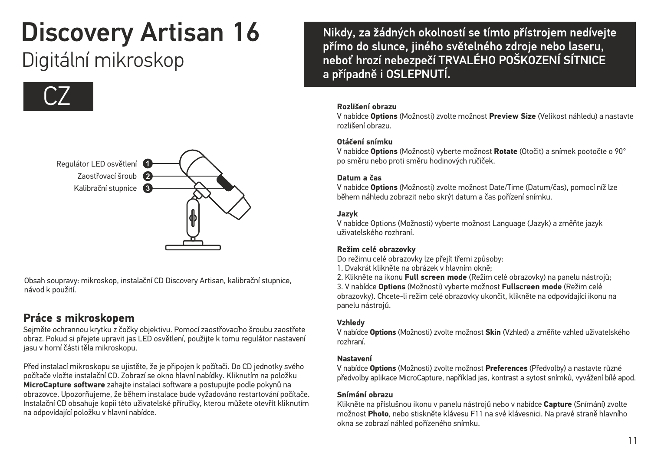## Digitální mikroskop





Obsah soupravy: mikroskop, instalační CD Discovery Artisan, kalibrační stupnice, návod k použití.

## **Práce s mikroskopem**

Sejměte ochrannou krytku z čočky objektivu. Pomocí zaostřovacího šroubu zaostřete obraz. Pokud si přejete upravit jas LED osvětlení, použijte k tomu regulátor nastavení jasu v horní části těla mikroskopu.

Před instalací mikroskopu se ujistěte, že je připojen k počítači. Do CD jednotky svého počítače vložte instalační CD. Zobrazí se okno hlavní nabídky. Kliknutím na položku **MicroCapture software** zahajte instalaci software a postupujte podle pokynů na obrazovce. Upozorňujeme, že během instalace bude vyžadováno restartování počítače. Instalační CD obsahuje kopii této uživatelské příručky, kterou můžete otevřít kliknutím na odpovídající položku v hlavní nabídce.

Nikdy, za žádných okolností se tímto přístrojem nedívejte přímo do slunce, jiného světelného zdroje nebo laseru, neboť hrozí nebezpečí TRVALÉHO POŠKOZENÍ SÍTNICE a případně i OSLEPNUTÍ.

#### **Rozlišení obrazu**

V nabídce **Options** (Možnosti) zvolte možnost **Preview Size** (Velikost náhledu) a nastavte rozlišení obrazu.

#### **Otáčení snímku**

V nabídce **Options** (Možnosti) vyberte možnost **Rotate** (Otočit) a snímek pootočte o 90°

#### **Datum a čas**

V nabídce **Options** (Možnosti) zvolte možnost Date/Time (Datum/čas), pomocí níž lze během náhledu zobrazit nebo skrýt datum a čas pořízení snímku.

#### **Jazyk**

V nabídce Options (Možnosti) vyberte možnost Language (Jazyk) a změňte jazyk uživatelského rozhraní.

#### **Režim celé obrazovky**

Do režimu celé obrazovky lze přejít třemi způsoby:

- 1. Dvakrát klikněte na obrázek v hlavním okně;
- 2. Klikněte na ikonu **Full screen mode** (Režim celé obrazovky) na panelu nástrojů;

3. V nabídce **Options** (Možnosti) vyberte možnost **Fullscreen mode** (Režim celé obrazovky). Chcete-li režim celé obrazovky ukončit, klikněte na odpovídající ikonu na panelu nástrojů.

#### **Vzhledy**

V nabídce **Options** (Možnosti) zvolte možnost **Skin** (Vzhled) a změňte vzhled uživatelského rozhraní.

#### **Nastavení**

V nabídce **Options** (Možnosti) zvolte možnost **Preferences** (Předvolby) a nastavte různé předvolby aplikace MicroCapture, například jas, kontrast a sytost snímků, vyvážení bílé apod.

#### **Snímání obrazu**

Klikněte na příslušnou ikonu v panelu nástrojů nebo v nabídce **Capture** (Snímání) zvolte možnost **Photo**, nebo stiskněte klávesu F11 na své klávesnici. Na pravé straně hlavního okna se zobrazí náhled pořízeného snímku.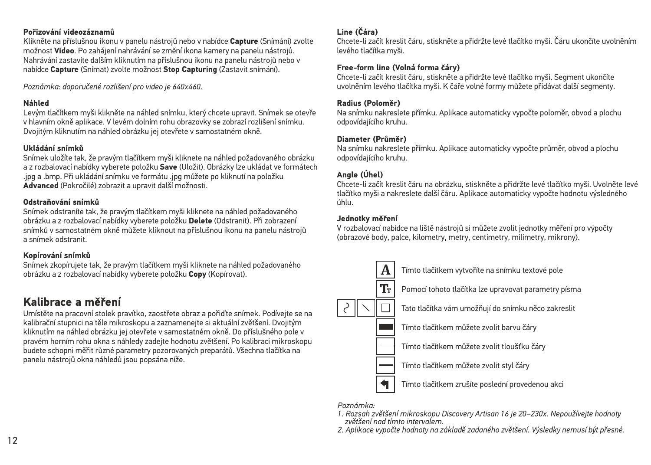#### **Pořizování videozáznamů**

Klikněte na příslušnou ikonu v panelu nástrojů nebo v nabídce **Capture** (Snímání) zvolte možnost **Video**. Po zahájení nahrávání se změní ikona kamery na panelu nástrojů. Nahrávání zastavíte dalším kliknutím na příslušnou ikonu na panelu nástrojů nebo v nabídce **Capture** (Snímat) zvolte možnost **Stop Capturing** (Zastavit snímání).

*Poznámka: doporučené rozlišení pro video je 640x460.*

#### **Náhled**

Levým tlačítkem myši klikněte na náhled snímku, který chcete upravit. Snímek se otevře v hlavním okně aplikace. V levém dolním rohu obrazovky se zobrazí rozlišení snímku. Dvojitým kliknutím na náhled obrázku jej otevřete v samostatném okně.

#### **Ukládání snímků**

Snímek uložíte tak, že pravým tlačítkem myši kliknete na náhled požadovaného obrázku a z rozbalovací nabídky vyberete položku **Save** (Uložit). Obrázky lze ukládat ve formátech .jpg a .bmp. Při ukládání snímku ve formátu .jpg můžete po kliknutí na položku **Advanced** (Pokročilé) zobrazit a upravit další možnosti.

#### **Odstraňování snímků**

Snímek odstraníte tak, že pravým tlačítkem myši kliknete na náhled požadovaného obrázku a z rozbalovací nabídky vyberete položku **Delete** (Odstranit). Při zobrazení snímků v samostatném okně můžete kliknout na příslušnou ikonu na panelu nástrojů a snímek odstranit.

#### **Kopírování snímků**

Snímek zkopírujete tak, že pravým tlačítkem myši kliknete na náhled požadovaného obrázku a z rozbalovací nabídky vyberete položku **Copy** (Kopírovat).

## **Kalibrace a měření**

Umístěte na pracovní stolek pravítko, zaostřete obraz a pořiďte snímek. Podívejte se na kalibrační stupnici na těle mikroskopu a zaznamenejte si aktuální zvětšení. Dvojitým kliknutím na náhled obrázku jej otevřete v samostatném okně. Do příslušného pole v pravém horním rohu okna s náhledy zadejte hodnotu zvětšení. Po kalibraci mikroskopu budete schopni měřit různé parametry pozorovaných preparátů. Všechna tlačítka na panelu nástrojů okna náhledů jsou popsána níže.

#### **Line (Čára)**

Chcete-li začít kreslit čáru, stiskněte a přidržte levé tlačítko myši. Čáru ukončíte uvolněním levého tlačítka myši.

#### **Free-form line (Volná forma čáry)**

Chcete-li začít kreslit čáru, stiskněte a přidržte levé tlačítko myši. Segment ukončíte uvolněním levého tlačítka myši. K čáře volné formy můžete přidávat další segmenty.

#### **Radius (Poloměr)**

Na snímku nakreslete přímku. Aplikace automaticky vypočte poloměr, obvod a plochu odpovídajícího kruhu.

#### **Diameter (Průměr)**

Na snímku nakreslete přímku. Aplikace automaticky vypočte průměr, obvod a plochu odpovídajícího kruhu.

#### **Angle (Úhel)**

Chcete-li začít kreslit čáru na obrázku, stiskněte a přidržte levé tlačítko myši. Uvolněte levé tlačítko myši a nakreslete další čáru. Aplikace automaticky vypočte hodnotu výsledného úhlu.

#### **Jednotky měření**

V rozbalovací nabídce na liště nástrojů si můžete zvolit jednotky měření pro výpočty (obrazové body, palce, kilometry, metry, centimetry, milimetry, mikrony).



#### *Poznámka:*

- *1. Rozsah zvětšení mikroskopu Discovery Artisan 16 je 20–230x. Nepoužívejte hodnoty zvětšení nad tímto intervalem.*
- *2. Aplikace vypočte hodnoty na základě zadaného zvětšení. Výsledky nemusí být přesné.*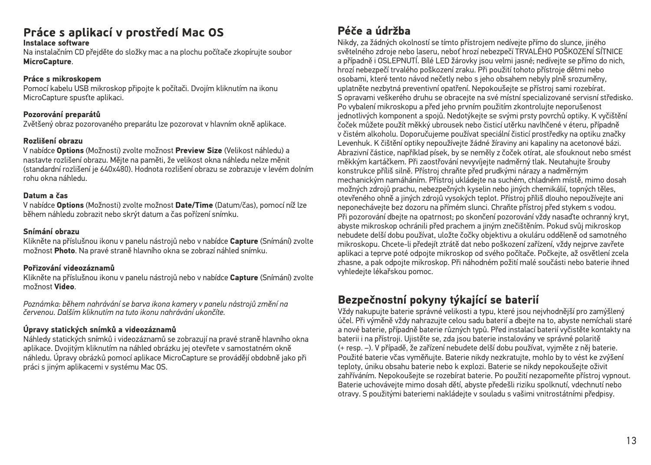## Práce s aplikací v prostředí Mac OS

#### **Instalace software**

Na instalačním CD přejděte do složky mac a na plochu počítače zkopírujte soubor **MicroCapture**.

#### **Práce s mikroskopem**

Pomocí kabelu USB mikroskop připojte k počítači. Dvojím kliknutím na ikonu MicroCapture spusťte aplikaci.

#### **Pozorování preparátů**

Zvětšený obraz pozorovaného preparátu lze pozorovat v hlavním okně aplikace.

#### **Rozlišení obrazu**

V nabídce **Options** (Možnosti) zvolte možnost **Preview Size** (Velikost náhledu) a nastavte rozlišení obrazu. Mějte na paměti, že velikost okna náhledu nelze měnit (standardní rozlišení je 640x480). Hodnota rozlišení obrazu se zobrazuje v levém dolním rohu okna náhledu.

#### **Datum a čas**

V nabídce **Options** (Možnosti) zvolte možnost **Date/Time** (Datum/čas), pomocí níž lze během náhledu zobrazit nebo skrýt datum a čas pořízení snímku.

#### **Snímání obrazu**

Klikněte na příslušnou ikonu v panelu nástrojů nebo v nabídce **Capture** (Snímání) zvolte možnost **Photo**. Na pravé straně hlavního okna se zobrazí náhled snímku.

#### **Pořizování videozáznamů**

Klikněte na příslušnou ikonu v panelu nástrojů nebo v nabídce **Capture** (Snímání) zvolte možnost **Video**.

*Poznámka: během nahrávání se barva ikona kamery v panelu nástrojů změní na červenou. Dalším kliknutím na tuto ikonu nahrávání ukončíte.*

#### **Úpravy statických snímků a videozáznamů**

Náhledy statických snímků i videozáznamů se zobrazují na pravé straně hlavního okna aplikace. Dvojitým kliknutím na náhled obrázku jej otevřete v samostatném okně náhledu. Úpravy obrázků pomocí aplikace MicroCapture se provádějí obdobně jako při práci s jiným aplikacemi v systému Mac OS.

## **Péče a údržba**

Nikdy, za žádných okolností se tímto přístrojem nedívejte přímo do slunce, jiného světelného zdroje nebo laseru, neboť hrozí nebezpečí TRVALÉHO POŠKOZENÍ SÍTNICE a případně i OSLEPNUTÍ. Bílé LED žárovky jsou velmi jasné; nedívejte se přímo do nich, hrozí nebezpečí trvalého poškození zraku. Při použití tohoto přístroje dětmi nebo osobami, které tento návod nečetly nebo s jeho obsahem nebyly plně srozuměny, uplatněte nezbytná preventivní opatření. Nepokoušejte se přístroj sami rozebírat. S opravami veškerého druhu se obracejte na své místní specializované servisní středisko. Po vybalení mikroskopu a před jeho prvním použitím zkontrolujte neporušenost jednotlivých komponent a spojů. Nedotýkejte se svými prsty povrchů optiky. K vyčištění čoček můžete použít měkký ubrousek nebo čisticí utěrku navlhčené v éteru, případně v čistém alkoholu. Doporučujeme používat speciální čisticí prostředky na optiku značky Levenhuk. K čištění optiky nepoužívejte žádné žíraviny ani kapaliny na acetonové bázi. Abrazivní částice, například písek, by se neměly z čoček otírat, ale sfouknout nebo smést měkkým kartáčkem. Při zaostřování nevyvíjejte nadměrný tlak. Neutahujte šrouby konstrukce příliš silně. Přístroj chraňte před prudkými nárazy a nadměrným mechanickým namáháním. Přístroj ukládejte na suchém, chladném místě, mimo dosah možných zdrojů prachu, nebezpečných kyselin nebo jiných chemikálií, topných těles, otevřeného ohně a jiných zdrojů vysokých teplot. Přístroj příliš dlouho nepoužívejte ani neponechávejte bez dozoru na přímém slunci. Chraňte přístroj před stykem s vodou. Při pozorování dbejte na opatrnost; po skončení pozorování vždy nasaďte ochranný kryt, abyste mikroskop ochránili před prachem a jiným znečištěním. Pokud svůj mikroskop nebudete delší dobu používat, uložte čočky objektivu a okuláru odděleně od samotného mikroskopu. Chcete-li předejít ztrátě dat nebo poškození zařízení, vždy nejprve zavřete aplikaci a teprve poté odpojte mikroskop od svého počítače. Počkejte, až osvětlení zcela zhasne, a pak odpojte mikroskop. Při náhodném požití malé součásti nebo baterie ihned vyhledejte lékařskou pomoc.

## **Bezpečnostní pokyny týkající se baterií**

Vždy nakupujte baterie správné velikosti a typu, které jsou nejvhodnější pro zamýšlený účel. Při výměně vždy nahrazujte celou sadu baterií a dbejte na to, abyste nemíchali staré a nové baterie, případně baterie různých typů. Před instalací baterií vyčistěte kontakty na baterii i na přístroji. Ujistěte se, zda jsou baterie instalovány ve správné polaritě (+ resp. –). V případě, že zařízení nebudete delší dobu používat, vyjměte z něj baterie. Použité baterie včas vyměňujte. Baterie nikdy nezkratujte, mohlo by to vést ke zvýšení teploty, úniku obsahu baterie nebo k explozi. Baterie se nikdy nepokoušejte oživit zahříváním. Nepokoušejte se rozebírat baterie. Po použití nezapomeňte přístroj vypnout. Baterie uchovávejte mimo dosah dětí, abyste předešli riziku spolknutí, vdechnutí nebo otravy. S použitými bateriemi nakládejte v souladu s vašimi vnitrostátními předpisy.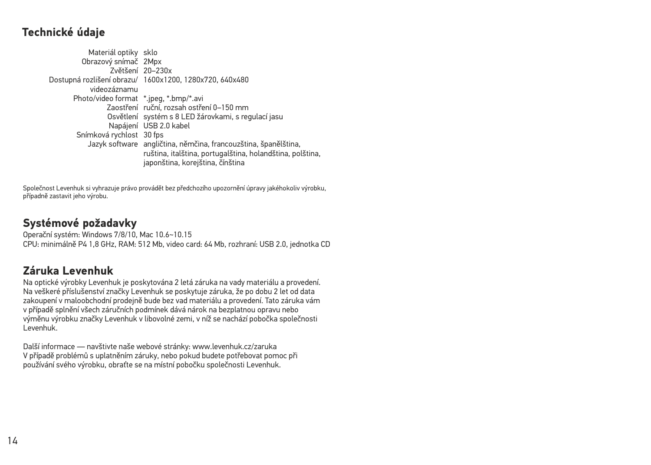## **Technické údaje**

| Materiál optiky sklo                   |                                                                 |
|----------------------------------------|-----------------------------------------------------------------|
| Obrazový snímač 2Mpx                   |                                                                 |
|                                        | Zvětšení 20-230x                                                |
|                                        | Dostupná rozlišení obrazu/ 1600x1200, 1280x720, 640x480         |
| videozáznamu                           |                                                                 |
| Photo/video format *.jpeg, *.bmp/*.avi |                                                                 |
|                                        | Zaostření ruční, rozsah ostření 0-150 mm                        |
|                                        | Osvětlení systém s 8 LED žárovkami, s regulací jasu             |
|                                        | Napájení USB 2.0 kabel                                          |
| Snímková rychlost 30 fps               |                                                                 |
|                                        | Jazyk software angličtina, němčina, francouzština, španělština, |
|                                        | ruština, italština, portugalština, holandština, polština,       |
|                                        | japonština, korejština, čínština                                |

Společnost Levenhuk si vyhrazuje právo provádět bez předchozího upozornění úpravy jakéhokoliv výrobku, případně zastavit jeho výrobu.

## **Systémové požadavky**

Operační systém: Windows 7/8/10, Mac 10.6~10.15 CPU: minimálně P4 1,8 GHz, RAM: 512 Mb, video card: 64 Mb, rozhraní: USB 2.0, jednotka CD

## **Záruka Levenhuk**

Na veškeré příslušenství značky Levenhuk se poskytuje záruka, že po dobu 2 let od data zakoupení v maloobchodní prodejně bude bez vad materiálu a provedení. Tato záruka vám v případě splnění všech záručních podmínek dává nárok na bezplatnou opravu nebo výměnu výrobku značky Levenhuk v libovolné zemi, v níž se nachází pobočka společnosti Levenhuk. Na optické výrobky Levenhuk je poskytována 2 letá záruka na vady materiálu a provedení.

Další informace — navštivte naše webové stránky: www.levenhuk.cz/zaruka V případě problémů s uplatněním záruky, nebo pokud budete potřebovat pomoc při používání svého výrobku, obraťte se na místní pobočku společnosti Levenhuk.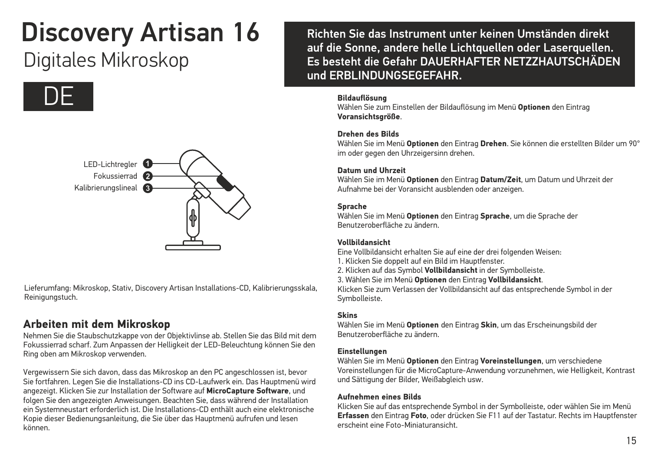## Digitales Mikroskop





Lieferumfang: Mikroskop, Stativ, Discovery Artisan Installations-CD, Kalibrierungsskala, Reinigungstuch.

## **Arbeiten mit dem Mikroskop**

Nehmen Sie die Staubschutzkappe von der Objektivlinse ab. Stellen Sie das Bild mit dem Fokussierrad scharf. Zum Anpassen der Helligkeit der LED-Beleuchtung können Sie den Ring oben am Mikroskop verwenden.

Vergewissern Sie sich davon, dass das Mikroskop an den PC angeschlossen ist, bevor Sie fortfahren. Legen Sie die Installations-CD ins CD-Laufwerk ein. Das Hauptmenü wird angezeigt. Klicken Sie zur Installation der Software auf **MicroCapture Software**, und folgen Sie den angezeigten Anweisungen. Beachten Sie, dass während der Installation ein Systemneustart erforderlich ist. Die Installations-CD enthält auch eine elektronische Kopie dieser Bedienungsanleitung, die Sie über das Hauptmenü aufrufen und lesen können.

Richten Sie das Instrument unter keinen Umständen direkt auf die Sonne, andere helle Lichtquellen oder Laserquellen. Es besteht die Gefahr DAUERHAFTER NETZZHAUTSCHÄDEN und ERBLINDUNGSEGEFAHR.

#### **Bildauflösung**

Wählen Sie zum Einstellen der Bildauflösung im Menü **Optionen** den Eintrag **Voransichtsgröße**.

#### **Drehen des Bilds**

Wählen Sie im Menü **Optionen** den Eintrag **Drehen**. Sie können die erstellten Bilder um 90° im oder gegen den Uhrzeigersinn drehen.

#### **Datum und Uhrzeit**

Wählen Sie im Menü **Optionen** den Eintrag **Datum/Zeit**, um Datum und Uhrzeit der Aufnahme bei der Voransicht ausblenden oder anzeigen.

#### **Sprache**

Wählen Sie im Menü **Optionen** den Eintrag **Sprache**, um die Sprache der Benutzeroberfläche zu ändern.

#### **Vollbildansicht**

Eine Vollbildansicht erhalten Sie auf eine der drei folgenden Weisen:

- 1. Klicken Sie doppelt auf ein Bild im Hauptfenster.
- 2. Klicken auf das Symbol **Vollbildansicht** in der Symbolleiste.

3. Wählen Sie im Menü **Optionen** den Eintrag **Vollbildansicht**.

Klicken Sie zum Verlassen der Vollbildansicht auf das entsprechende Symbol in der Symbolleiste.

#### **Skins**

Wählen Sie im Menü **Optionen** den Eintrag **Skin**, um das Erscheinungsbild der Benutzeroberfläche zu ändern.

#### **Einstellungen**

Wählen Sie im Menü **Optionen** den Eintrag **Voreinstellungen**, um verschiedene Voreinstellungen für die MicroCapture-Anwendung vorzunehmen, wie Helligkeit, Kontrast und Sättigung der Bilder, Weißabgleich usw.

#### **Aufnehmen eines Bilds**

Klicken Sie auf das entsprechende Symbol in der Symbolleiste, oder wählen Sie im Menü **Erfassen** den Eintrag **Foto**, oder drücken Sie F11 auf der Tastatur. Rechts im Hauptfenster erscheint eine Foto-Miniaturansicht.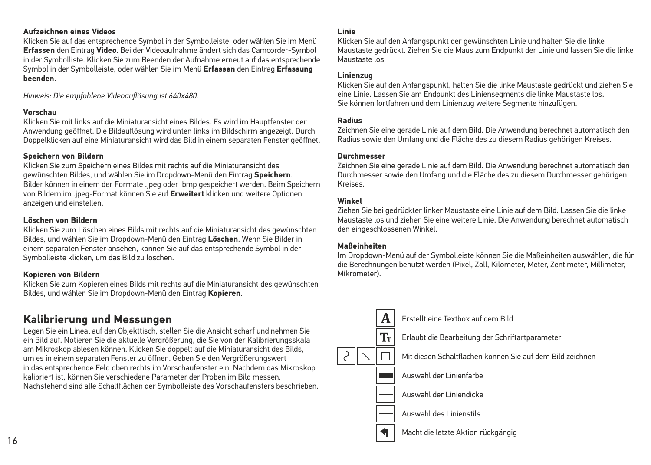#### **Aufzeichnen eines Videos**

Klicken Sie auf das entsprechende Symbol in der Symbolleiste, oder wählen Sie im Menü **Erfassen** den Eintrag **Video**. Bei der Videoaufnahme ändert sich das Camcorder-Symbol in der Symbolliste. Klicken Sie zum Beenden der Aufnahme erneut auf das entsprechende Symbol in der Symbolleiste, oder wählen Sie im Menü **Erfassen** den Eintrag **Erfassung beenden**.

*Hinweis: Die empfohlene Videoauflösung ist 640x480.*

#### **Vorschau**

Klicken Sie mit links auf die Miniaturansicht eines Bildes. Es wird im Hauptfenster der Anwendung geöffnet. Die Bildauflösung wird unten links im Bildschirm angezeigt. Durch Doppelklicken auf eine Miniaturansicht wird das Bild in einem separaten Fenster geöffnet.

#### **Speichern von Bildern**

Klicken Sie zum Speichern eines Bildes mit rechts auf die Miniaturansicht des gewünschten Bildes, und wählen Sie im Dropdown-Menü den Eintrag **Speichern**. Bilder können in einem der Formate .jpeg oder .bmp gespeichert werden. Beim Speichern von Bildern im .jpeg-Format können Sie auf **Erweitert** klicken und weitere Optionen anzeigen und einstellen.

#### **Löschen von Bildern**

Klicken Sie zum Löschen eines Bilds mit rechts auf die Miniaturansicht des gewünschten Bildes, und wählen Sie im Dropdown-Menü den Eintrag **Löschen**. Wenn Sie Bilder in einem separaten Fenster ansehen, können Sie auf das entsprechende Symbol in der Symbolleiste klicken, um das Bild zu löschen.

#### **Kopieren von Bildern**

Klicken Sie zum Kopieren eines Bilds mit rechts auf die Miniaturansicht des gewünschten Bildes, und wählen Sie im Dropdown-Menü den Eintrag **Kopieren**.

Legen Sie ein Lineal auf den Objekttisch, stellen Sie die Ansicht scharf und nehmen Sie ein Bild auf. Notieren Sie die aktuelle Vergrößerung, die Sie von der Kalibrierungsskala am Mikroskop ablesen können. Klicken Sie doppelt auf die Miniaturansicht des Bilds, um es in einem separaten Fenster zu öffnen. Geben Sie den Vergrößerungswert in das entsprechende Feld oben rechts im Vorschaufenster ein. Nachdem das Mikroskop kalibriert ist, können Sie verschiedene Parameter der Proben im Bild messen. Nachstehend sind alle Schaltflächen der Symbolleiste des Vorschaufensters beschrieben.

#### **Linie**

Klicken Sie auf den Anfangspunkt der gewünschten Linie und halten Sie die linke Maustaste gedrückt. Ziehen Sie die Maus zum Endpunkt der Linie und lassen Sie die linke Maustaste los.

#### **Linienzug**

Klicken Sie auf den Anfangspunkt, halten Sie die linke Maustaste gedrückt und ziehen Sie eine Linie. Lassen Sie am Endpunkt des Liniensegments die linke Maustaste los. Sie können fortfahren und dem Linienzug weitere Segmente hinzufügen.

#### **Radius**

Zeichnen Sie eine gerade Linie auf dem Bild. Die Anwendung berechnet automatisch den Radius sowie den Umfang und die Fläche des zu diesem Radius gehörigen Kreises.

#### **Durchmesser**

Zeichnen Sie eine gerade Linie auf dem Bild. Die Anwendung berechnet automatisch den Durchmesser sowie den Umfang und die Fläche des zu diesem Durchmesser gehörigen Kreises.

#### **Winkel**

Ziehen Sie bei gedrückter linker Maustaste eine Linie auf dem Bild. Lassen Sie die linke Maustaste los und ziehen Sie eine weitere Linie. Die Anwendung berechnet automatisch den eingeschlossenen Winkel.

#### **Maßeinheiten**

Im Dropdown-Menü auf der Symbolleiste können Sie die Maßeinheiten auswählen, die für die Berechnungen benutzt werden (Pixel, Zoll, Kilometer, Meter, Zentimeter, Millimeter, Mikrometer).

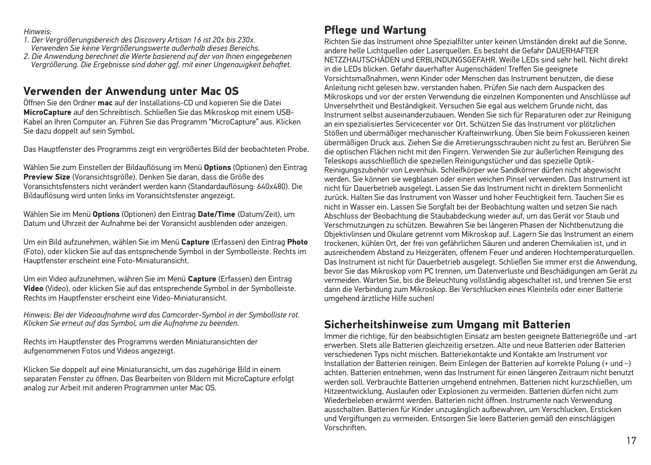*Hinweis:*

- *1. Der Vergrößerungsbereich des Discovery Artisan 16 ist 20x bis 230x. Verwenden Sie keine Vergrößerungswerte außerhalb dieses Bereichs.*
- *2. Die Anwendung berechnet die Werte basierend auf der von Ihnen eingegebenen Vergrößerung. Die Ergebnisse sind daher ggf. mit einer Ungenauigkeit behaftet.*

## **Verwenden der Anwendung unter Mac OS**

Öffnen Sie den Ordner **mac** auf der Installations-CD und kopieren Sie die Datei **MicroCapture** auf den Schreibtisch. Schließen Sie das Mikroskop mit einem USB-Kabel an Ihren Computer an. Führen Sie das Programm "MicroCapture" aus. Klicken Sie dazu doppelt auf sein Symbol.

Das Hauptfenster des Programms zeigt ein vergrößertes Bild der beobachteten Probe.

Wählen Sie zum Einstellen der Bildauflösung im Menü **Options** (Optionen) den Eintrag **Preview Size** (Voransichtsgröße). Denken Sie daran, dass die Größe des Voransichtsfensters nicht verändert werden kann (Standardauflösung: 640x480). Die Bildauflösung wird unten links im Voransichtsfenster angezeigt.

Wählen Sie im Menü **Options** (Optionen) den Eintrag **Date/Time** (Datum/Zeit), um Datum und Uhrzeit der Aufnahme bei der Voransicht ausblenden oder anzeigen.

Um ein Bild aufzunehmen, wählen Sie im Menü **Capture** (Erfassen) den Eintrag **Photo** (Foto), oder klicken Sie auf das entsprechende Symbol in der Symbolleiste. Rechts im Hauptfenster erscheint eine Foto-Miniaturansicht.

Um ein Video aufzunehmen, währen Sie im Menü **Capture** (Erfassen) den Eintrag **Video** (Video), oder klicken Sie auf das entsprechende Symbol in der Symbolleiste. Rechts im Hauptfenster erscheint eine Video-Miniaturansicht.

*Hinweis: Bei der Videoaufnahme wird das Camcorder-Symbol in der Symbolliste rot. Klicken Sie erneut auf das Symbol, um die Aufnahme zu beenden.*

Rechts im Hauptfenster des Programms werden Miniaturansichten der aufgenommenen Fotos und Videos angezeigt.

Klicken Sie doppelt auf eine Miniaturansicht, um das zugehörige Bild in einem separaten Fenster zu öffnen. Das Bearbeiten von Bildern mit MicroCapture erfolgt analog zur Arbeit mit anderen Programmen unter Mac OS.

## **Pflege und Wartung**

Richten Sie das Instrument ohne Spezialfilter unter keinen Umständen direkt auf die Sonne, andere helle Lichtquellen oder Laserquellen. Es besteht die Gefahr DAUERHAFTER NETZZHAUTSCHÄDEN und ERBLINDUNGSGEFAHR. Weiße LEDs sind sehr hell. Nicht direkt in die LEDs blicken. Gefahr dauerhafter Augenschäden! Treffen Sie geeignete Vorsichtsmaßnahmen, wenn Kinder oder Menschen das Instrument benutzen, die diese Anleitung nicht gelesen bzw. verstanden haben. Prüfen Sie nach dem Auspacken des Mikroskops und vor der ersten Verwendung die einzelnen Komponenten und Anschlüsse auf Unversehrtheit und Beständigkeit. Versuchen Sie egal aus welchem Grunde nicht, das Instrument selbst auseinanderzubauen. Wenden Sie sich für Reparaturen oder zur Reinigung an ein spezialisiertes Servicecenter vor Ort. Schützen Sie das Instrument vor plötzlichen Stößen und übermäßiger mechanischer Krafteinwirkung. Üben Sie beim Fokussieren keinen übermäßigen Druck aus. Ziehen Sie die Arretierungsschrauben nicht zu fest an. Berühren Sie die optischen Flächen nicht mit den Fingern. Verwenden Sie zur äußerlichen Reinigung des Teleskops ausschließlich die speziellen Reinigungstücher und das spezielle Optik-Reinigungszubehör von Levenhuk. Schleifkörper wie Sandkörner dürfen nicht abgewischt werden. Sie können sie wegblasen oder einen weichen Pinsel verwenden. Das Instrument ist nicht für Dauerbetrieb ausgelegt. Lassen Sie das Instrument nicht in direktem Sonnenlicht zurück. Halten Sie das Instrument von Wasser und hoher Feuchtigkeit fern. Tauchen Sie es nicht in Wasser ein. Lassen Sie Sorgfalt bei der Beobachtung walten und setzen Sie nach Abschluss der Beobachtung die Staubabdeckung wieder auf, um das Gerät vor Staub und Verschmutzungen zu schützen. Bewahren Sie bei längeren Phasen der Nichtbenutzung die Objektivlinsen und Okulare getrennt vom Mikroskop auf. Lagern Sie das Instrument an einem trockenen, kühlen Ort, der frei von gefährlichen Säuren und anderen Chemikalien ist, und in ausreichendem Abstand zu Heizgeräten, offenem Feuer und anderen Hochtemperaturquellen. Das Instrument ist nicht für Dauerbetrieb ausgelegt. Schließen Sie immer erst die Anwendung, bevor Sie das Mikroskop vom PC trennen, um Datenverluste und Beschädigungen am Gerät zu vermeiden. Warten Sie, bis die Beleuchtung vollständig abgeschaltet ist, und trennen Sie erst dann die Verbindung zum Mikroskop. Bei Verschlucken eines Kleinteils oder einer Batterie umgehend ärztliche Hilfe suchen!

## **Sicherheitshinweise zum Umgang mit Batterien**

Immer die richtige, für den beabsichtigten Einsatz am besten geeignete Batteriegröße und -art erwerben. Stets alle Batterien gleichzeitig ersetzen. Alte und neue Batterien oder Batterien verschiedenen Typs nicht mischen. Batteriekontakte und Kontakte am Instrument vor Installation der Batterien reinigen. Beim Einlegen der Batterien auf korrekte Polung (+ und −) achten. Batterien entnehmen, wenn das Instrument für einen längeren Zeitraum nicht benutzt werden soll. Verbrauchte Batterien umgehend entnehmen. Batterien nicht kurzschließen, um Hitzeentwicklung, Auslaufen oder Explosionen zu vermeiden. Batterien dürfen nicht zum Wiederbeleben erwärmt werden. Batterien nicht öffnen. Instrumente nach Verwendung ausschalten. Batterien für Kinder unzugänglich aufbewahren, um Verschlucken, Ersticken und Vergiftungen zu vermeiden. Entsorgen Sie leere Batterien gemäß den einschlägigen Vorschriften.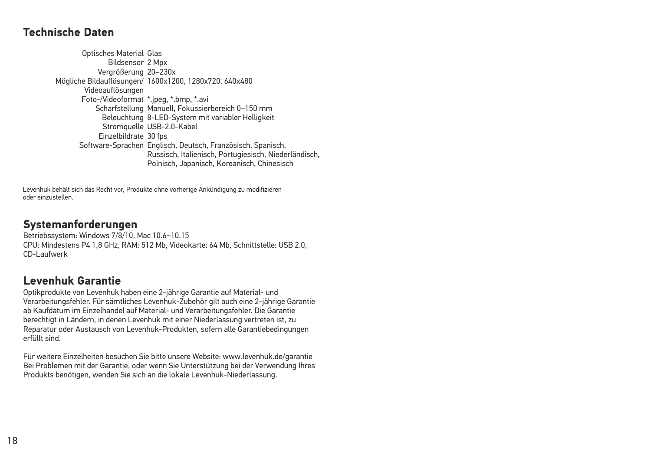### **Technische Daten**

Optisches Material Glas Bildsensor 2 Mpx Vergrößerung 20–230x Mögliche Bildauflösungen/ 1600x1200, 1280x720, 640x480 Videoauflösungen Foto-/Videoformat \*.jpeg, \*.bmp, \*.avi Scharfstellung Manuell, Fokussierbereich 0–150 mm Beleuchtung 8-LED-System mit variabler Helligkeit Stromquelle USB-2.0-Kabel Einzelbildrate 30 fps Software-Sprachen Englisch, Deutsch, Französisch, Spanisch, Russisch, Italienisch, Portugiesisch, Niederländisch, Polnisch, Japanisch, Koreanisch, Chinesisch

Levenhuk behält sich das Recht vor, Produkte ohne vorherige Ankündigung zu modifizieren oder einzustellen.

### **Systemanforderungen**

Betriebssystem:Windows 7/8/10, Mac 10.6~10.15 CPU: Mindestens P4 1,8 GHz, RAM: 512 Mb, Videokarte: 64 Mb, Schnittstelle:USB 2.0, CD-Laufwerk

## **Levenhuk Garantie**

Optikprodukte von Levenhuk haben eine 2-jährige Garantie auf Material- und Verarbeitungsfehler. Für sämtliches Levenhuk-Zubehör gilt auch eine 2-jährige Garantie ab Kaufdatum im Einzelhandel auf Material- und Verarbeitungsfehler. Die Garantie berechtigt in Ländern, in denen Levenhuk mit einer Niederlassung vertreten ist, zu Reparatur oder Austausch von Levenhuk-Produkten, sofern alle Garantiebedingungen erfüllt sind.

Bei Problemen mit der Garantie, oder wenn Sie Unterstützung bei der Verwendung Ihres Produkts benötigen, wenden Sie sich an die lokale Levenhuk-Niederlassung. Für weitere Einzelheiten besuchen Sie bitte unsere Website: www.levenhuk.de/garantie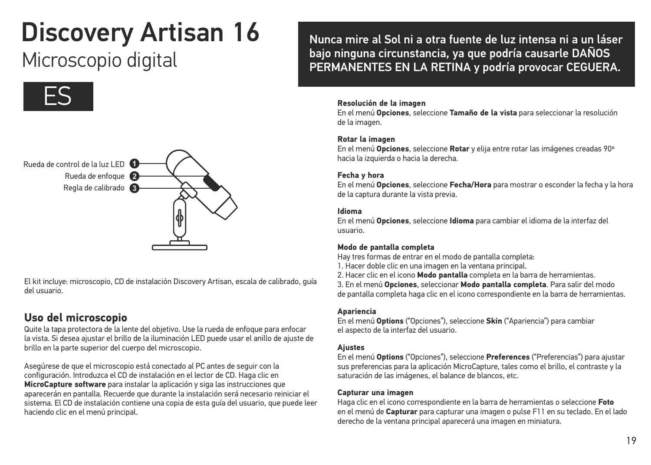## Microscopio digital





El kit incluye: microscopio, CD de instalación Discovery Artisan, escala de calibrado, guía del usuario.

## **Uso del microscopio**

Quite la tapa protectora de la lente del objetivo. Use la rueda de enfoque para enfocar la vista. Si desea ajustar el brillo de la iluminación LED puede usar el anillo de ajuste de brillo en la parte superior del cuerpo del microscopio.

Asegúrese de que el microscopio está conectado al PC antes de seguir con la configuración. Introduzca el CD de instalación en el lector de CD. Haga clic en **MicroCapture software** para instalar la aplicación y siga las instrucciones que aparecerán en pantalla. Recuerde que durante la instalación será necesario reiniciar el sistema. El CD de instalación contiene una copia de esta guía del usuario, que puede leer haciendo clic en el menú principal.

Nunca mire al Sol ni a otra fuente de luz intensa ni a un láser bajo ninguna circunstancia, ya que podría causarle DAÑOS PERMANENTES EN LA RETINA y podría provocar CEGUERA.

#### **Resolución de la imagen**

En el menú **Opciones**, seleccione **Tamaño de la vista** para seleccionar la resolución de la imagen.

#### **Rotar la imagen**

En el menú **Opciones**, seleccione **Rotar** y elija entre rotar las imágenes creadas 90º hacia la izquierda o hacia la derecha.

#### **Fecha y hora**

En el menú **Opciones**, seleccione **Fecha/Hora** para mostrar o esconder la fecha y la hora de la captura durante la vista previa.

#### **Idioma**

En el menú **Opciones**, seleccione **Idioma** para cambiar el idioma de la interfaz del usuario.

#### **Modo de pantalla completa**

Hay tres formas de entrar en el modo de pantalla completa:

1. Hacer doble clic en una imagen en la ventana principal.

2. Hacer clic en el icono **Modo pantalla** completa en la barra de herramientas.

3. En el menú **Opciones**, seleccionar **Modo pantalla completa**. Para salir del modo de pantalla completa haga clic en el icono correspondiente en la barra de herramientas.

#### **Apariencia**

el aspecto de la interfaz del usuario. En el menú **Options** ("Opciones"), seleccione **Skin** ("Apariencia") para cambiar

#### **Ajustes**

En el menú **Options** ("Opciones"), seleccione **Preferences** ("Preferencias") para ajustar sus preferencias para la aplicación MicroCapture, tales como el brillo, el contraste y la saturación de las imágenes, el balance de blancos, etc.

#### **Capturar una imagen**

en el menú de **Capturar** para capturar una imagen o pulse F11 en su teclado. En el lado derecho de la ventana principal aparecerá una imagen en miniatura. Haga clic en el icono correspondiente en la barra de herramientas o seleccione **Foto**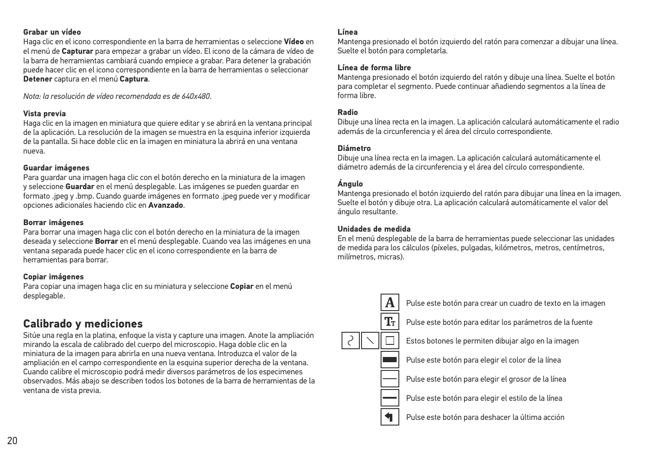#### **Grabar un vídeo**

Haga clic en el icono correspondiente en la barra de herramientas o seleccione **Vídeo** en el menú de **Capturar** para empezar a grabar un vídeo. El icono de la cámara de vídeo de la barra de herramientas cambiará cuando empiece a grabar. Para detener la grabación puede hacer clic en el icono correspondiente en la barra de herramientas o seleccionar **Detener** captura en el menú **Captura**.

*Nota: la resolución de vídeo recomendada es de 640x480.*

#### **Vista previa**

Haga clic en la imagen en miniatura que quiere editar y se abrirá en la ventana principal de la aplicación. La resolución de la imagen se muestra en la esquina inferior izquierda de la pantalla. Si hace doble clic en la imagen en miniatura la abrirá en una ventana nueva.

#### **Guardar imágenes**

Para guardar una imagen haga clic con el botón derecho en la miniatura de la imagen y seleccione **Guardar** en el menú desplegable. Las imágenes se pueden guardar en formato .jpeg y .bmp. Cuando guarde imágenes en formato .jpeg puede ver y modificar opciones adicionales haciendo clic en **Avanzado**.

#### **Borrar imágenes**

Para borrar una imagen haga clic con el botón derecho en la miniatura de la imagen deseada y seleccione **Borrar** en el menú desplegable. Cuando vea las imágenes en una ventana separada puede hacer clic en el icono correspondiente en la barra de herramientas para borrar.

#### **Copiar imágenes**

Para copiar una imagen haga clic en su miniatura y seleccione **Copiar** en el menú desplegable.

## **Calibrado y mediciones**

Sitúe una regla en la platina, enfoque la vista y capture una imagen. Anote la ampliación mirando la escala de calibrado del cuerpo del microscopio. Haga doble clic en la miniatura de la imagen para abrirla en una nueva ventana. Introduzca el valor de la ampliación en el campo correspondiente en la esquina superior derecha de la ventana. Cuando calibre el microscopio podrá medir diversos parámetros de los especimenes observados. Más abajo se describen todos los botones de la barra de herramientas de la ventana de vista previa.

#### **Línea**

Mantenga presionado el botón izquierdo del ratón para comenzar a dibujar una línea. Suelte el botón para completarla.

#### **Línea de forma libre**

Mantenga presionado el botón izquierdo del ratón y dibuje una línea. Suelte el botón para completar el segmento. Puede continuar añadiendo segmentos a la línea de forma libre.

#### **Radio**

Dibuje una línea recta en la imagen. La aplicación calculará automáticamente el radio además de la circunferencia y el área del círculo correspondiente.

#### **Diámetro**

Dibuje una línea recta en la imagen. La aplicación calculará automáticamente el diámetro además de la circunferencia y el área del círculo correspondiente.

#### **Ángulo**

Mantenga presionado el botón izquierdo del ratón para dibujar una línea en la imagen. Suelte el botón y dibuje otra. La aplicación calculará automáticamente el valor del ángulo resultante.

#### **Unidades de medida**

En el menú desplegable de la barra de herramientas puede seleccionar las unidades de medida para los cálculos (píxeles, pulgadas, kilómetros, metros, centímetros, milímetros, micras).

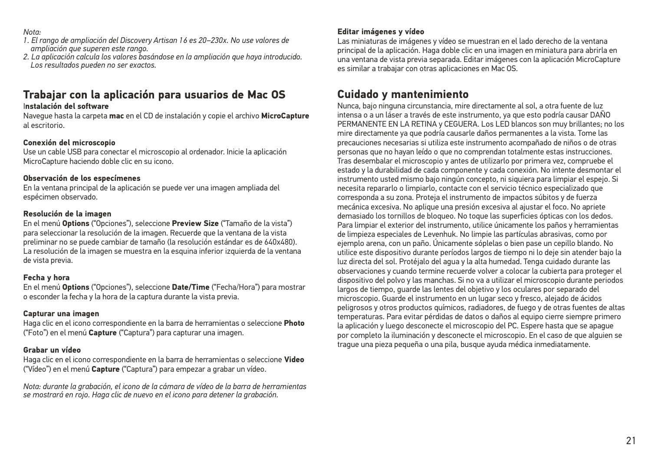#### *Nota:*

- *ampliación que superen este rango. 1. El rango de ampliación del Discovery Artisan 16 es 20–230x. No use valores de*
- *2. La aplicación calcula los valores basándose en la ampliación que haya introducido. Los resultados pueden no ser exactos.*

## **Trabajar con la aplicación para usuarios de Mac OS**

#### I**nstalación del software**

Navegue hasta la carpeta **mac** en el CD de instalación y copie el archivo **MicroCapture** al escritorio.

#### **Conexión del microscopio**

Use un cable USB para conectar el microscopio al ordenador. Inicie la aplicación MicroCapture haciendo doble clic en su icono.

#### **Observación de los especímenes**

En la ventana principal de la aplicación se puede ver una imagen ampliada del espécimen observado.

#### **Resolución de la imagen**

En el menú **Options** ("Opciones"), seleccione **Preview Size** ("Tamaño de la vista") para seleccionar la resolución de la imagen. Recuerde que la ventana de la vista preliminar no se puede cambiar de tamaño (la resolución estándar es de 640x480). La resolución de la imagen se muestra en la esquina inferior izquierda de la ventana de vista previa.

#### **Fecha y hora**

o esconder la fecha y la hora de la captura durante la vista previa. En el menú **Options** ("Opciones"), seleccione **Date/Time** ("Fecha/Hora") para mostrar

#### **Capturar una imagen**

Haga clic en el icono correspondiente en la barra de herramientas o seleccione **Photo** ("Foto") en el menú **Capture** ("Captura") para capturar una imagen.

#### **Grabar un vídeo**

Haga clic en el icono correspondiente en la barra de herramientas o seleccione **Video** ("Vídeo") en el menú **Capture** ("Captura") para empezar a grabar un vídeo.

*se mostrará en rojo. Haga clic de nuevo en el icono para detener la grabación. Nota: durante la grabación, el icono de la cámara de vídeo de la barra de herramientas* 

#### **Editar imágenes y vídeo**

Las miniaturas de imágenes y vídeo se muestran en el lado derecho de la ventana principal de la aplicación. Haga doble clic en una imagen en miniatura para abrirla en una ventana de vista previa separada. Editar imágenes con la aplicación MicroCapture es similar a trabajar con otras aplicaciones en Mac OS.

## **Cuidado y mantenimiento**

Nunca, bajo ninguna circunstancia, mire directamente al sol, a otra fuente de luz intensa o a un láser a través de este instrumento, ya que esto podría causar DAÑO PERMANENTE EN LA RETINA y CEGUERA. Los LED blancos son muy brillantes; no los mire directamente ya que podría causarle daños permanentes a la vista. Tome las precauciones necesarias si utiliza este instrumento acompañado de niños o de otras personas que no hayan leído o que no comprendan totalmente estas instrucciones. Tras desembalar el microscopio y antes de utilizarlo por primera vez, compruebe el estado y la durabilidad de cada componente y cada conexión. No intente desmontar el instrumento usted mismo bajo ningún concepto, ni siquiera para limpiar el espejo. Si necesita repararlo o limpiarlo, contacte con el servicio técnico especializado que corresponda a su zona. Proteja el instrumento de impactos súbitos y de fuerza mecánica excesiva. No aplique una presión excesiva al ajustar el foco. No apriete demasiado los tornillos de bloqueo. No toque las superficies ópticas con los dedos. Para limpiar el exterior del instrumento, utilice únicamente los paños y herramientas de limpieza especiales de Levenhuk. No limpie las partículas abrasivas, como por ejemplo arena, con un paño. Únicamente sóplelas o bien pase un cepillo blando. No utilice este dispositivo durante períodos largos de tiempo ni lo deje sin atender bajo la luz directa del sol. Protéjalo del agua y la alta humedad. Tenga cuidado durante las observaciones y cuando termine recuerde volver a colocar la cubierta para proteger el dispositivo del polvo y las manchas. Si no va a utilizar el microscopio durante periodos largos de tiempo, guarde las lentes del objetivo y los oculares por separado del microscopio. Guarde el instrumento en un lugar seco y fresco, alejado de ácidos peligrosos y otros productos químicos, radiadores, de fuego y de otras fuentes de altas temperaturas. Para evitar pérdidas de datos o daños al equipo cierre siempre primero la aplicación y luego desconecte el microscopio del PC. Espere hasta que se apague por completo la iluminación y desconecte el microscopio. En el caso de que alguien se trague una pieza pequeña o una pila, busque ayuda médica inmediatamente.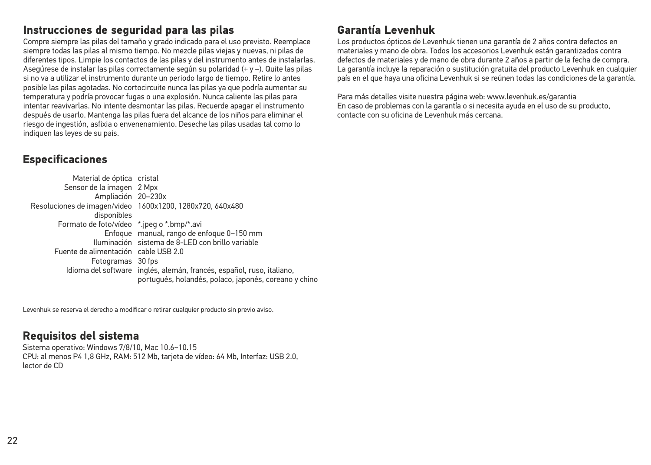## **Instrucciones de seguridad para las pilas**

Compre siempre las pilas del tamaño y grado indicado para el uso previsto. Reemplace siempre todas las pilas al mismo tiempo. No mezcle pilas viejas y nuevas, ni pilas de diferentes tipos. Limpie los contactos de las pilas y del instrumento antes de instalarlas. Asegúrese de instalar las pilas correctamente según su polaridad  $(+ \vee -)$ . Quite las pilas si no va a utilizar el instrumento durante un periodo largo de tiempo. Retire lo antes posible las pilas agotadas. No cortocircuite nunca las pilas ya que podría aumentar su temperatura y podría provocar fugas o una explosión. Nunca caliente las pilas para intentar reavivarlas. No intente desmontar las pilas. Recuerde apagar el instrumento después de usarlo. Mantenga las pilas fuera del alcance de los niños para eliminar el riesgo de ingestión, asfixia o envenenamiento. Deseche las pilas usadas tal como lo indiquen las leyes de su país.

## **Especificaciones**

| Material de óptica cristal                 |                                                                                                                                |
|--------------------------------------------|--------------------------------------------------------------------------------------------------------------------------------|
| Sensor de la imagen 2 Mpx                  |                                                                                                                                |
| Ampliación 20-230x                         |                                                                                                                                |
| disponibles                                | Resoluciones de imagen/video 1600x1200, 1280x720, 640x480                                                                      |
| Formato de foto/vídeo *.jpeg o *.bmp/*.avi |                                                                                                                                |
|                                            | Enfoque manual, rango de enfoque 0-150 mm                                                                                      |
|                                            | Iluminación sistema de 8-LED con brillo variable                                                                               |
| Fuente de alimentación cable USB 2.0       |                                                                                                                                |
| Fotogramas 30 fps                          |                                                                                                                                |
|                                            | Idioma del software inglés, alemán, francés, español, ruso, italiano,<br>portugués, holandés, polaco, japonés, coreano y chino |

Levenhuk se reserva el derecho a modificar o retirar cualquier producto sin previo aviso.

### **Requisitos del sistema**

Sistema operativo:Windows 7/8/10, Mac 10.6~10.15 CPU:al menos P4 1,8 GHz, RAM: 512 Mb, tarjeta de vídeo: 64 Mb, Interfaz:USB 2.0, lector de CD

## **Garantía Levenhuk**

La garantía incluye la reparación o sustitución gratuita del producto Levenhuk en cualquier país en el que haya una oficina Levenhuk si se reúnen todas las condiciones de la garantía. Los productos ópticos de Levenhuk tienen una garantía de 2 años contra defectos en materiales y mano de obra. Todos los accesorios Levenhuk están garantizados contra defectos de materiales y de mano de obra durante 2 años a partir de la fecha de compra.

Para más detalles visite nuestra página web: www.levenhuk.es/garantia En caso de problemas con la garantía o si necesita ayuda en el uso de su producto, contacte con su oficina de Levenhuk más cercana.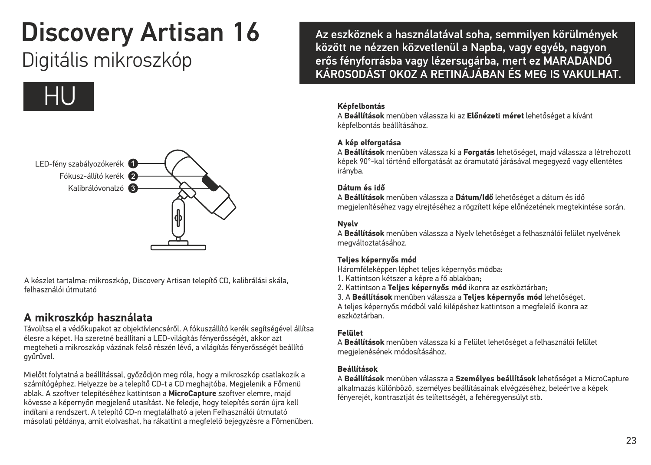## Digitális mikroszkóp





A készlet tartalma: mikroszkóp, Discovery Artisan telepítő CD, kalibrálási skála, felhasználói útmutató

## **A mikroszkóp használata**

Távolítsa el a védőkupakot az objektívlencséről. A fókuszállító kerék segítségével állítsa élesre a képet. Ha szeretné beállítani a LED-világítás fényerősségét, akkor azt megteheti a mikroszkóp vázának felső részén lévő, a világítás fényerősségét beállító gyűrűvel.

Mielőtt folytatná a beállítással, győződjön meg róla, hogy a mikroszkóp csatlakozik a számítógéphez. Helyezze be a telepítő CD-t a CD meghajtóba. Megjelenik a Főmenü ablak. A szoftver telepítéséhez kattintson a **MicroCapture** szoftver elemre, majd kövesse a képernyőn megjelenő utasítást. Ne feledje, hogy telepítés során újra kell indítani a rendszert. A telepítő CD-n megtalálható a jelen Felhasználói útmutató másolati példánya, amit elolvashat, ha rákattint a megfelelő bejegyzésre a Főmenüben.

Az eszköznek a használatával soha, semmilyen körülmények között ne nézzen közvetlenül a Napba, vagy egyéb, nagyon erős fényforrásba vagy lézersugárba, mert ez MARADANDÓ KÁROSODÁST OKOZ A RETINÁJÁBAN ÉS MEG IS VAKULHAT.

#### **Képfelbontás**

A **Beállítások** menüben válassza ki az **Előnézeti méret** lehetőséget a kívánt képfelbontás beállításához.

#### **A kép elforgatása**

A **Beállítások** menüben válassza ki a **Forgatás** lehetőséget, majd válassza a létrehozott képek 90°-kal történő elforgatását az óramutató járásával megegyező vagy ellentétes irányba.

#### **Dátum és idő**

A **Beállítások** menüben válassza a **Dátum/Idő** lehetőséget a dátum és idő megjelenítéséhez vagy elrejtéséhez a rögzített képe előnézetének megtekintése során.

#### **Nyelv**

A **Beállítások** menüben válassza a Nyelv lehetőséget a felhasználói felület nyelvének megváltoztatásához.

#### **Teljes képernyős mód**

Háromféleképpen léphet teljes képernyős módba:

- 1. Kattintson kétszer a képre a fő ablakban;
- 2. Kattintson a **Teljes képernyős mód** ikonra az eszköztárban;

3. A **Beállítások** menüben válassza a **Teljes képernyős mód** lehetőséget.

A teljes képernyős módból való kilépéshez kattintson a megfelelő ikonra az eszköztárban.

#### **Felület**

A **Beállítások** menüben válassza ki a Felület lehetőséget a felhasználói felület megjelenésének módosításához.

#### **Beállítások**

A **Beállítások** menüben válassza a **Személyes beállítások** lehetőséget a MicroCapture alkalmazás különböző, személyes beállításainak elvégzéséhez, beleértve a képek fényerejét, kontrasztját és telítettségét, a fehéregyensúlyt stb.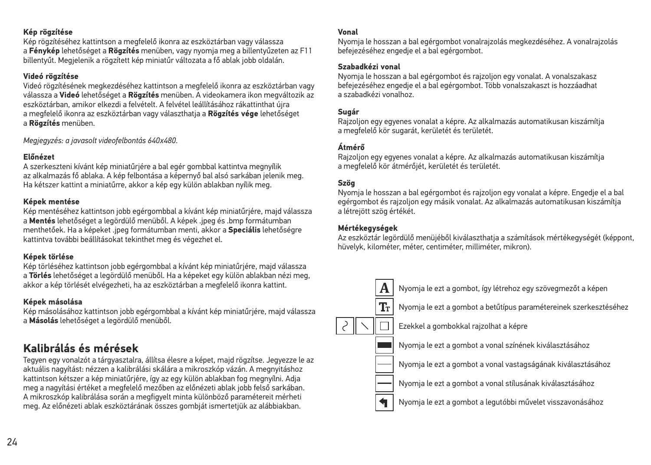#### **Kép rögzítése**

Kép rögzítéséhez kattintson a megfelelő ikonra az eszköztárban vagy válassza a **Fénykép** lehetőséget a **Rögzítés** menüben, vagy nyomja meg a billentyűzeten az F11 billentyűt. Megjelenik a rögzített kép miniatűr változata a fő ablak jobb oldalán.

#### **Videó rögzítése**

Videó rögzítésének megkezdéséhez kattintson a megfelelő ikonra az eszköztárban vagy válassza a **Videó** lehetőséget a **Rögzítés** menüben. A videokamera ikon megváltozik az eszköztárban, amikor elkezdi a felvételt. A felvétel leállításához rákattinthat újra a megfelelő ikonra az eszköztárban vagy választhatja a **Rögzítés vége** lehetőséget a **Rögzítés** menüben.

*Megjegyzés: a javasolt videofelbontás 640x480.*

#### **Előnézet**

A szerkeszteni kívánt kép miniatűrjére a bal egér gombbal kattintva megnyílik az alkalmazás fő ablaka. A kép felbontása a képernyő bal alsó sarkában jelenik meg. Ha kétszer kattint a miniatűrre, akkor a kép egy külön ablakban nyílik meg.

#### **Képek mentése**

Kép mentéséhez kattintson jobb egérgombbal a kívánt kép miniatűrjére, majd válassza a **Mentés** lehetőséget a legördülő menüből. A képek .jpeg és .bmp formátumban menthetőek. Ha a képeket .jpeg formátumban menti, akkor a **Speciális** lehetőségre kattintva további beállításokat tekinthet meg és végezhet el.

#### **Képek törlése**

Kép törléséhez kattintson jobb egérgombbal a kívánt kép miniatűrjére, majd válassza a **Törlés** lehetőséget a legördülő menüből. Ha a képeket egy külön ablakban nézi meg, akkor a kép törlését elvégezheti, ha az eszköztárban a megfelelő ikonra kattint.

#### **Képek másolása**

Kép másolásához kattintson jobb egérgombbal a kívánt kép miniatűrjére, majd válassza a **Másolás** lehetőséget a legördülő menüből.

## **Kalibrálás és mérések**

Tegyen egy vonalzót a tárgyasztalra, állítsa élesre a képet, majd rögzítse. Jegyezze le az aktuális nagyítást: nézzen a kalibrálási skálára a mikroszkóp vázán. A megnyitáshoz kattintson kétszer a kép miniatűrjére, így az egy külön ablakban fog megnyílni. Adja meg a nagyítási értéket a megfelelő mezőben az előnézeti ablak jobb felső sarkában. A mikroszkóp kalibrálása során a megfigyelt minta különböző paramétereit mérheti meg. Az előnézeti ablak eszköztárának összes gombját ismertetjük az alábbiakban.

#### **Vonal**

Nyomja le hosszan a bal egérgombot vonalrajzolás megkezdéséhez. A vonalrajzolás befejezéséhez engedje el a bal egérgombot.

#### **Szabadkézi vonal**

Nyomja le hosszan a bal egérgombot és rajzoljon egy vonalat. A vonalszakasz befejezéséhez engedje el a bal egérgombot. Több vonalszakaszt is hozzáadhat a szabadkézi vonalhoz.

#### **Sugár**

Rajzoljon egy egyenes vonalat a képre. Az alkalmazás automatikusan kiszámítja a megfelelő kör sugarát, kerületét és területét.

#### **Átmérő**

Rajzoljon egy egyenes vonalat a képre. Az alkalmazás automatikusan kiszámítja a megfelelő kör átmérőjét, kerületét és területét.

#### **Szög**

Nyomja le hosszan a bal egérgombot és rajzoljon egy vonalat a képre. Engedje el a bal egérgombot és rajzoljon egy másik vonalat. Az alkalmazás automatikusan kiszámítja a létrejött szög értékét.

#### **Mértékegységek**

Az eszköztár legördülő menüjéből kiválaszthatja a számítások mértékegységét (képpont, hüvelyk, kilométer, méter, centiméter, milliméter, mikron).

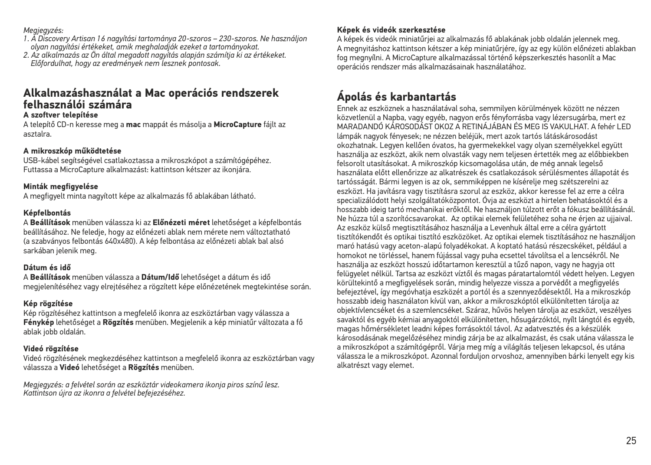#### *Megjegyzés:*

- *1. A Discovery Artisan 16 nagyítási tartománya 20-szoros 230-szoros. Ne használjon olyan nagyítási értékeket, amik meghaladják ezeket a tartományokat.*
- *Előfordulhat, hogy az eredmények nem lesznek pontosak. 2. Az alkalmazás az Ön által megadott nagyítás alapján számítja ki az értékeket.*

## **Alkalmazáshasználat a Mac operációs rendszerek felhasználói számára**

#### **A szoftver telepítése**

A telepítő CD-n keresse meg a **mac** mappát és másolja a **MicroCapture** fájlt az asztalra.

#### **A mikroszkóp működtetése**

USB-kábel segítségével csatlakoztassa a mikroszkópot a számítógépéhez. Futtassa a MicroCapture alkalmazást: kattintson kétszer az ikonjára.

#### **Minták megfigyelése**

A megfigyelt minta nagyított képe az alkalmazás fő ablakában látható.

#### **Képfelbontás**

A **Beállítások** menüben válassza ki az **Előnézeti méret** lehetőséget a képfelbontás beállításához. Ne feledje, hogy az előnézeti ablak nem mérete nem változtatható (a szabványos felbontás 640x480). A kép felbontása az előnézeti ablak bal alsó sarkában jelenik meg.

#### **Dátum és idő**

A **Beállítások** menüben válassza a **Dátum/Idő** lehetőséget a dátum és idő megjelenítéséhez vagy elrejtéséhez a rögzített képe előnézetének megtekintése során.

#### **Kép rögzítése**

Kép rögzítéséhez kattintson a megfelelő ikonra az eszköztárban vagy válassza a **Fénykép** lehetőséget a **Rögzítés** menüben. Megjelenik a kép miniatűr változata a fő ablak jobb oldalán.

#### **Videó rögzítése**

Videó rögzítésének megkezdéséhez kattintson a megfelelő ikonra az eszköztárban vagy válassza a **Videó** lehetőséget a **Rögzítés** menüben.

*Megjegyzés: a felvétel során az eszköztár videokamera ikonja piros színű lesz. Kattintson újra az ikonra a felvétel befejezéséhez.*

#### **Képek és videók szerkesztése**

A képek és videók miniatűrjei az alkalmazás fő ablakának jobb oldalán jelennek meg. A megnyitáshoz kattintson kétszer a kép miniatűrjére, így az egy külön előnézeti ablakban fog megnyílni. A MicroCapture alkalmazással történő képszerkesztés hasonlít a Mac operációs rendszer más alkalmazásainak használatához.

## **Ápolás és karbantartás**

Ennek az eszköznek a használatával soha, semmilyen körülmények között ne nézzen közvetlenül a Napba, vagy egyéb, nagyon erős fényforrásba vagy lézersugárba, mert ez MARADANDÓ KÁROSODÁST OKOZ A RETINÁJÁBAN ÉS MEG IS VAKULHAT. A fehér LED lámpák nagyok fényesek; ne nézzen beléjük, mert azok tartós látáskárosodást okozhatnak. Legyen kellően óvatos, ha gyermekekkel vagy olyan személyekkel együtt használja az eszközt, akik nem olvasták vagy nem teljesen értették meg az előbbiekben felsorolt utasításokat. A mikroszkóp kicsomagolása után, de még annak legelső használata előtt ellenőrizze az alkatrészek és csatlakozások sérülésmentes állapotát és tartósságát. Bármi legyen is az ok, semmiképpen ne kísérelje meg szétszerelni az eszközt. Ha javításra vagy tisztításra szorul az eszköz, akkor keresse fel az erre a célra specializálódott helyi szolgáltatóközpontot. Óvja az eszközt a hirtelen behatásoktól és a hosszabb ideig tartó mechanikai erőktől. Ne használjon túlzott erőt a fókusz beállításánál. Ne húzza túl a szorítócsavarokat. Az optikai elemek felületéhez soha ne érjen az ujjaival. Az eszköz külső megtisztításához használja a Levenhuk által erre a célra gyártott tisztítókendőt és optikai tisztító eszközöket. Az optikai elemek tisztításához ne használjon maró hatású vagy aceton-alapú folyadékokat. A koptató hatású részecskéket, például a homokot ne törléssel, hanem fújással vagy puha ecsettel távolítsa el a lencsékről. Ne használja az eszközt hosszú időtartamon keresztül a tűző napon, vagy ne hagyja ott felügyelet nélkül. Tartsa az eszközt víztől és magas páratartalomtól védett helyen. Legyen körültekintő a megfigyelések során, mindig helyezze vissza a porvédőt a megfigyelés befejeztével, így megóvhatja eszközét a portól és a szennyeződésektől. Ha a mikroszkóp hosszabb ideig használaton kívül van, akkor a mikroszkóptól elkülönítetten tárolja az objektívlencséket és a szemlencséket. Száraz, hűvös helyen tárolja az eszközt, veszélyes savaktól és egyéb kémiai anyagoktól elkülönítetten, hősugárzóktól, nyílt lángtól és egyéb, magas hőmérsékletet leadni képes forrásoktól távol. Az adatvesztés és a készülék károsodásának megelőzéséhez mindig zárja be az alkalmazást, és csak utána válassza le a mikroszkópot a számítógépről. Várja meg míg a világítás teljesen lekapcsol, és utána válassza le a mikroszkópot. Azonnal forduljon orvoshoz, amennyiben bárki lenyelt egy kis alkatrészt vagy elemet.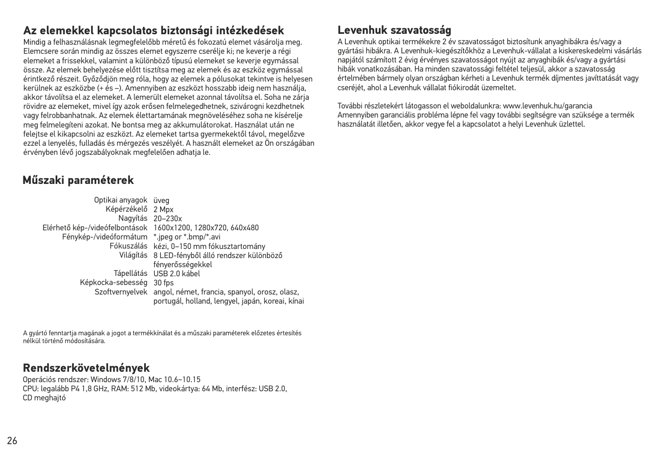## **Az elemekkel kapcsolatos biztonsági intézkedések**

Mindig a felhasználásnak legmegfelelőbb méretű és fokozatú elemet vásárolja meg. Elemcsere során mindig az összes elemet egyszerre cserélje ki; ne keverje a régi elemeket a frissekkel, valamint a különböző típusú elemeket se keverje egymással össze. Az elemek behelyezése előtt tisztítsa meg az elemek és az eszköz egymással érintkező részeit. Győződjön meg róla, hogy az elemek a pólusokat tekintve is helyesen kerülnek az eszközbe (+ és –). Amennyiben az eszközt hosszabb ideig nem használja, akkor távolítsa el az elemeket. A lemerült elemeket azonnal távolítsa el. Soha ne zárja rövidre az elemeket, mivel így azok erősen felmelegedhetnek, szivárogni kezdhetnek vagy felrobbanhatnak. Az elemek élettartamának megnöveléséhez soha ne kísérelje meg felmelegíteni azokat. Ne bontsa meg az akkumulátorokat. Használat után ne felejtse el kikapcsolni az eszközt. Az elemeket tartsa gyermekektől távol, megelőzve ezzel a lenyelés, fulladás és mérgezés veszélyét. A használt elemeket az Ön országában érvényben lévő jogszabályoknak megfelelően adhatja le.

## **Műszaki paraméterek**

Optikai anyagok üveg Képérzékelő 2 Mpx Nagyítás 20–230х Elérhető kép-/videófelbontások 1600x1200, 1280x720, 640x480 Fénykép-/videóformátum \*.jpeg or \*.bmp/\*.avi Fókuszálás kézi, 0–150 mm fókusztartomány Világítás 8 LED-fényből álló rendszer különböző Tápellátás USB 2.0 kábel Képkocka-sebesség 30 fps Szoftvernyelvek angol, német, francia, spanyol, orosz, olasz, fényerősségekkel portugál, holland, lengyel, japán, koreai, kínai

A gyártó fenntartja magának a jogot a termékkínálat és a műszaki paraméterek előzetes értesítés nélkül történő módosítására.

## **Rendszerkövetelmények**

Operációs rendszer: Windows 7/8/10, Mac 10.6~10.15 CPU: legalább P4 1,8 GHz, RAM: 512 Mb, videokártya: 64 Mb, interfész: USB 2.0, CD meghajtó

## **Levenhuk szavatosság**

A Levenhuk optikai termékekre 2 év szavatosságot biztosítunk anyaghibákra és/vagy a gyártási hibákra. A Levenhuk-kiegészítőkhöz a Levenhuk-vállalat a kiskereskedelmi vásárlás napjától számított 2 évig érvényes szavatosságot nyújt az anyaghibák és/vagy a gyártási hibák vonatkozásában. Ha minden szavatossági feltétel teljesül, akkor a szavatosság értelmében bármely olyan országban kérheti a Levenhuk termék díjmentes javíttatását vagy cseréjét, ahol a Levenhuk vállalat fiókirodát üzemeltet.

További részletekért látogasson el weboldalunkra: www.levenhuk.hu/garancia Amennyiben garanciális probléma lépne fel vagy további segítségre van szüksége a termék használatát illetően, akkor vegye fel a kapcsolatot a helyi Levenhuk üzlettel.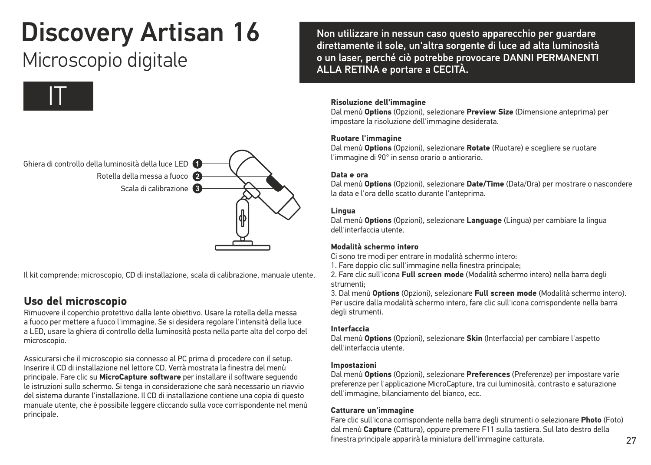## Microscopio digitale





Il kit comprende: microscopio, CD di installazione, scala di calibrazione, manuale utente.

## **Uso del microscopio**

Rimuovere il coperchio protettivo dalla lente obiettivo. Usare la rotella della messa a fuoco per mettere a fuoco l'immagine. Se si desidera regolare l'intensità della luce a LED, usare la ghiera di controllo della luminosità posta nella parte alta del corpo del microscopio.

Assicurarsi che il microscopio sia connesso al PC prima di procedere con il setup. Inserire il CD di installazione nel lettore CD. Verrà mostrata la finestra del menù principale. Fare clic su **MicroCapture software** per installare il software seguendo le istruzioni sullo schermo. Si tenga in considerazione che sarà necessario un riavvio del sistema durante l'installazione. Il CD di installazione contiene una copia di questo manuale utente, che è possibile leggere cliccando sulla voce corrispondente nel menù principale.

Non utilizzare in nessun caso questo apparecchio per guardare direttamente il sole, un'altra sorgente di luce ad alta luminosità o un laser, perché ciò potrebbe provocare DANNI PERMANENTI ALLA RETINA e portare a CECITÀ.

#### **Risoluzione dell'immagine**

Dal menù **Options** (Opzioni), selezionare **Preview Size** (Dimensione anteprima) per impostare la risoluzione dell'immagine desiderata.

#### **Ruotare l'immagine**

Dal menù **Options** (Opzioni), selezionare **Rotate** (Ruotare) e scegliere se ruotare l'immagine di 90° in senso orario o antiorario.

#### **Data e ora**

Dal menù **Options** (Opzioni), selezionare **Date/Time** (Data/Ora) per mostrare o nascondere la data e l'ora dello scatto durante l'anteprima.

#### **Lingua**

Dal menù **Options** (Opzioni), selezionare **Language** (Lingua) per cambiare la lingua dell'interfaccia utente.

#### **Modalità schermo intero**

Ci sono tre modi per entrare in modalità schermo intero:

1.Fare doppio clic sull'immagine nella finestra principale;

2.Fare clic sull'icona **Full screen mode** (Modalità schermo intero) nella barra degli strumenti;

Per uscire dalla modalità schermo intero, fare clic sull'icona corrispondente nella barra degli strumenti. 3.Dal menù **Options** (Opzioni), selezionare **Full screen mode** (Modalità schermo intero).

#### **Interfaccia**

Dal menù **Options** (Opzioni), selezionare **Skin** (Interfaccia) per cambiare l'aspetto dell'interfaccia utente.

#### **Impostazioni**

Dal menù **Options** (Opzioni), selezionare **Preferences** (Preferenze) per impostare varie preferenze per l'applicazione MicroCapture, tra cui luminosità, contrasto e saturazione dell'immagine, bilanciamento del bianco, ecc.

#### **Catturare un'immagine**

Fare clic sull'icona corrispondente nella barra degli strumenti o selezionare **Photo** (Foto) dal menù **Capture** (Cattura), oppure premere F11 sulla tastiera. Sul lato destro della finestra principale apparirà la miniatura dell'immagine catturata.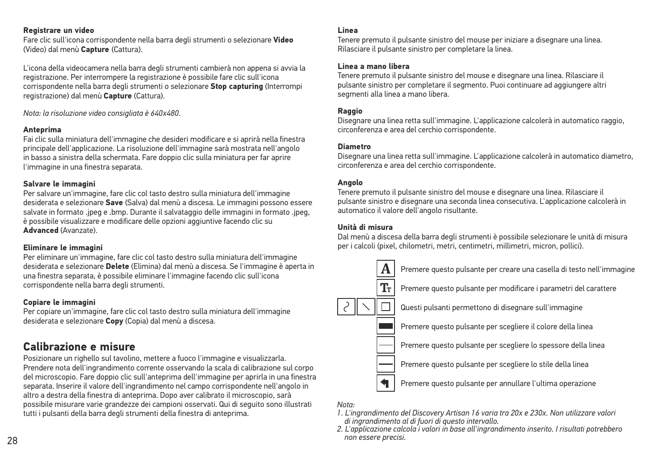#### **Registrare un video**

Fare clic sull'icona corrispondente nella barra degli strumenti o selezionare **Video** (Video) dal menù **Capture** (Cattura).

L'icona della videocamera nella barra degli strumenti cambierà non appena si avvia la registrazione. Per interrompere la registrazione è possibile fare clic sull'icona corrispondente nella barra degli strumenti o selezionare **Stop capturing** (Interrompi registrazione) dal menù **Capture** (Cattura).

*Nota: la risoluzione video consigliata è 640x480.*

#### **Anteprima**

Fai clic sulla miniatura dell'immagine che desideri modificare e si aprirà nella finestra principale dell'applicazione. La risoluzione dell'immagine sarà mostrata nell'angolo in basso a sinistra della schermata. Fare doppio clic sulla miniatura per far aprire l'immagine in una finestra separata.

#### **Salvare le immagini**

Per salvare un'immagine, fare clic col tasto destro sulla miniatura dell'immagine desiderata e selezionare **Save** (Salva) dal menù a discesa. Le immagini possono essere salvate in formato .jpeg e .bmp. Durante il salvataggio delle immagini in formato .jpeg, è possibile visualizzare e modificare delle opzioni aggiuntive facendo clic su **Advanced** (Avanzate).

#### **Eliminare le immagini**

Per eliminare un'immagine, fare clic col tasto destro sulla miniatura dell'immagine desiderata e selezionare **Delete** (Elimina) dal menù a discesa. Se l'immagine è aperta in una finestra separata, è possibile eliminare l'immagine facendo clic sull'icona corrispondente nella barra degli strumenti.

#### **Copiare le immagini**

Per copiare un'immagine, fare clic col tasto destro sulla miniatura dell'immagine desiderata e selezionare **Copy** (Copia) dal menù a discesa.

## **Calibrazione e misure**

Posizionare un righello sul tavolino, mettere a fuoco l'immagine e visualizzarla. Prendere nota dell'ingrandimento corrente osservando la scala di calibrazione sul corpo del microscopio. Fare doppio clic sull'anteprima dell'immagine per aprirla in una finestra separata. Inserire il valore dell'ingrandimento nel campo corrispondente nell'angolo in altro a destra della finestra di anteprima. Dopo aver calibrato il microscopio, sarà possibile misurare varie grandezze dei campioni osservati. Qui di seguito sono illustrati tutti i pulsanti della barra degli strumenti della finestra di anteprima.

#### **Linea**

Tenere premuto il pulsante sinistro del mouse per iniziare a disegnare una linea. Rilasciare il pulsante sinistro per completare la linea.

#### **Linea a mano libera**

Tenere premuto il pulsante sinistro del mouse e disegnare una linea. Rilasciare il pulsante sinistro per completare il segmento. Puoi continuare ad aggiungere altri .<br>segmenti alla linea a mano libera.

#### **Raggio**

Disegnare una linea retta sull'immagine. L'applicazione calcolerà in automatico raggio, circonferenza e area del cerchio corrispondente.

#### **Diametro**

Disegnare una linea retta sull'immagine. L'applicazione calcolerà in automatico diametro, circonferenza e area del cerchio corrispondente.

#### **Angolo**

Tenere premuto il pulsante sinistro del mouse e disegnare una linea. Rilasciare il pulsante sinistro e disegnare una seconda linea consecutiva. L'applicazione calcolerà in automatico il valore dell'angolo risultante.

#### **Unità di misura**

Dal menù a discesa della barra degli strumenti è possibile selezionare le unità di misura per i calcoli (pixel, chilometri, metri, centimetri, millimetri, micron, pollici).



#### *Nota:*

- *1. L'ingrandimento del Discovery Artisan 16 varia tra 20x e 230x. Non utilizzare valori di ingrandimento al di fuori di questo intervallo.*
- *2. L'applicazione calcola i valori in base all'ingrandimento inserito. I risultati potrebbero non essere precisi.*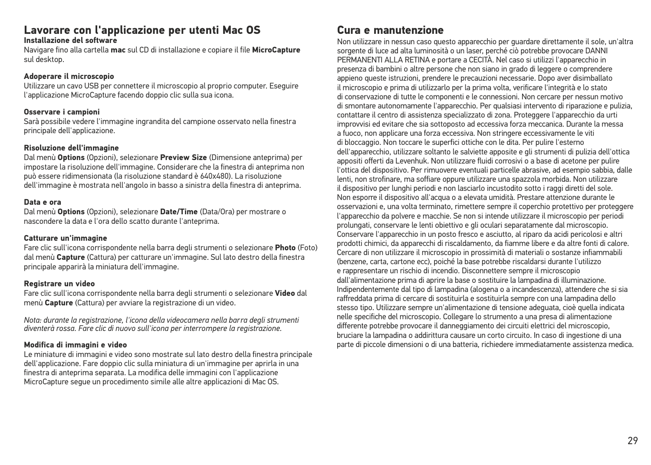#### **Installazione del software Lavorare con l'applicazione per utenti Mac OS**

Navigare fino alla cartella **mac** sul CD di installazione e copiare il file **MicroCapture** sul desktop.

#### **Adoperare il microscopio**

Utilizzare un cavo USB per connettere il microscopio al proprio computer. Eseguire l'applicazione MicroCapture facendo doppio clic sulla sua icona.

#### **Osservare i campioni**

Sarà possibile vedere l'immagine ingrandita del campione osservato nella finestra principale dell'applicazione.

#### **Risoluzione dell'immagine**

Dal menù **Options** (Opzioni), selezionare **Preview Size** (Dimensione anteprima) per impostare la risoluzione dell'immagine. Considerare che la finestra di anteprima non può essere ridimensionata (la risoluzione standard è 640x480). La risoluzione dell'immagine è mostrata nell'angolo in basso a sinistra della finestra di anteprima.

#### **Data e ora**

Dal menù **Options** (Opzioni), selezionare **Date/Time** (Data/Ora) per mostrare o nascondere la data e l'ora dello scatto durante l'anteprima.

#### **Catturare un'immagine**

Fare clic sull'icona corrispondente nella barra degli strumenti o selezionare **Photo** (Foto) dal menù **Capture** (Cattura) per catturare un'immagine. Sul lato destro della finestra principale apparirà la miniatura dell'immagine.

#### **Registrare un video**

Fare clic sull'icona corrispondente nella barra degli strumenti o selezionare **Video** dal menù **Capture** (Cattura) per avviare la registrazione di un video.

*Nota: durante la registrazione, l'icona della videocamera nella barra degli strumenti diventerà rossa. Fare clic di nuovo sull'icona per interrompere la registrazione.*

#### **Modifica di immagini e video**

Le miniature di immagini e video sono mostrate sul lato destro della finestra principale dell'applicazione. Fare doppio clic sulla miniatura di un'immagine per aprirla in una finestra di anteprima separata. La modifica delle immagini con l'applicazione MicroCapture segue un procedimento simile alle altre applicazioni di Mac OS.

### **Cura e manutenzione**

Non utilizzare in nessun caso questo apparecchio per guardare direttamente il sole, un'altra sorgente di luce ad alta luminosità o un laser, perché ciò potrebbe provocare DANNI PERMANENTI ALLA RETINA e portare a CECITÀ. Nel caso si utilizzi l'apparecchio in presenza di bambini o altre persone che non siano in grado di leggere o comprendere appieno queste istruzioni, prendere le precauzioni necessarie. Dopo aver disimballato il microscopio e prima di utilizzarlo per la prima volta, verificare l'integrità e lo stato di conservazione di tutte le componenti e le connessioni. Non cercare per nessun motivo di smontare autonomamente l'apparecchio. Per qualsiasi intervento di riparazione e pulizia, contattare il centro di assistenza specializzato di zona. Proteggere l'apparecchio da urti improvvisi ed evitare che sia sottoposto ad eccessiva forza meccanica. Durante la messa a fuoco, non applicare una forza eccessiva. Non stringere eccessivamente le viti di bloccaggio. Non toccare le superfici ottiche con le dita. Per pulire l'esterno dell'apparecchio, utilizzare soltanto le salviette apposite e gli strumenti di pulizia dell'ottica appositi offerti da Levenhuk. Non utilizzare fluidi corrosivi o a base di acetone per pulire l'ottica del dispositivo. Per rimuovere eventuali particelle abrasive, ad esempio sabbia, dalle lenti, non strofinare, ma soffiare oppure utilizzare una spazzola morbida. Non utilizzare il dispositivo per lunghi periodi e non lasciarlo incustodito sotto i raggi diretti del sole. Non esporre il dispositivo all'acqua o a elevata umidità. Prestare attenzione durante le osservazioni e, una volta terminato, rimettere sempre il coperchio protettivo per proteggere l'apparecchio da polvere e macchie. Se non si intende utilizzare il microscopio per periodi prolungati, conservare le lenti obiettivo e gli oculari separatamente dal microscopio. Conservare l'apparecchio in un posto fresco e asciutto, al riparo da acidi pericolosi e altri prodotti chimici, da apparecchi di riscaldamento, da fiamme libere e da altre fonti di calore. Cercare di non utilizzare il microscopio in prossimità di materiali o sostanze infiammabili (benzene, carta, cartone ecc), poiché la base potrebbe riscaldarsi durante l'utilizzo e rappresentare un rischio di incendio. Disconnettere sempre il microscopio dall'alimentazione prima di aprire la base o sostituire la lampadina di illuminazione. Indipendentemente dal tipo di lampadina (alogena o a incandescenza), attendere che si sia raffreddata prima di cercare di sostituirla e sostituirla sempre con una lampadina dello stesso tipo. Utilizzare sempre un'alimentazione di tensione adeguata, cioè quella indicata nelle specifiche del microscopio. Collegare lo strumento a una presa di alimentazione differente potrebbe provocare il danneggiamento dei circuiti elettrici del microscopio, bruciare la lampadina o addirittura causare un corto circuito. In caso di ingestione di una parte di piccole dimensioni o di una batteria, richiedere immediatamente assistenza medica.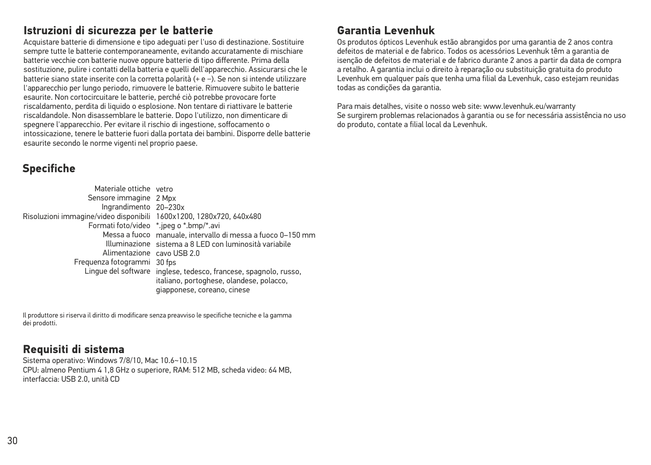## **Istruzioni di sicurezza per le batterie**

Acquistare batterie di dimensione e tipo adeguati per l'uso di destinazione. Sostituire sempre tutte le batterie contemporaneamente, evitando accuratamente di mischiare batterie vecchie con batterie nuove oppure batterie di tipo differente. Prima della sostituzione, pulire i contatti della batteria e quelli dell'apparecchio. Assicurarsi che le batterie siano state inserite con la corretta polarità (+ e −). Se non si intende utilizzare l'apparecchio per lungo periodo, rimuovere le batterie. Rimuovere subito le batterie esaurite. Non cortocircuitare le batterie, perché ciò potrebbe provocare forte riscaldamento, perdita di liquido o esplosione. Non tentare di riattivare le batterie riscaldandole. Non disassemblare le batterie. Dopo l'utilizzo, non dimenticare di spegnere l'apparecchio. Per evitare il rischio di ingestione, soffocamento o intossicazione, tenere le batterie fuori dalla portata dei bambini. Disporre delle batterie esaurite secondo le norme vigenti nel proprio paese.

## **Specifiche**

Materiale ottiche vetro Sensore immagine 2 Mpx Ingrandimento 20–230х Risoluzioni immagine/video disponibili 1600x1200, 1280x720, 640x480 Formati foto/video \*.jpeg o \*.bmp/\*.avi Messa a fuoco manuale, intervallo di messa a fuoco 0–150 mm Illuminazione sistema a 8 LED con luminosità variabile Alimentazione cavo USB 2.0 Frequenza fotogrammi 30 fps Lingue del software inglese, tedesco, francese, spagnolo, russo, italiano, portoghese, olandese, polacco, giapponese, coreano, cinese

Il produttore si riserva il diritto di modificare senza preavviso le specifiche tecniche e la gamma dei prodotti.

## **Requisiti di sistema**

Sistema operativo: Windows 7/8/10, Mac 10.6~10.15 CPU: almeno Pentium 4 1,8 GHz o superiore, RAM: 512 MB, scheda video: 64 MB, interfaccia: USB 2.0, unità CD

## **Garantia Levenhuk**

Os produtos ópticos Levenhuk estão abrangidos por uma garantia de 2 anos contra defeitos de material e de fabrico. Todos os acessórios Levenhuk têm a garantia de isenção de defeitos de material e de fabrico durante 2 anos a partir da data de compra a retalho. A garantia inclui o direito à reparação ou substituição gratuita do produto Levenhuk em qualquer país que tenha uma filial da Levenhuk, caso estejam reunidas todas as condições da garantia.

Para mais detalhes, visite o nosso web site: www.levenhuk.eu/warranty Se surgirem problemas relacionados à garantia ou se for necessária assistência no uso do produto, contate a filial local da Levenhuk.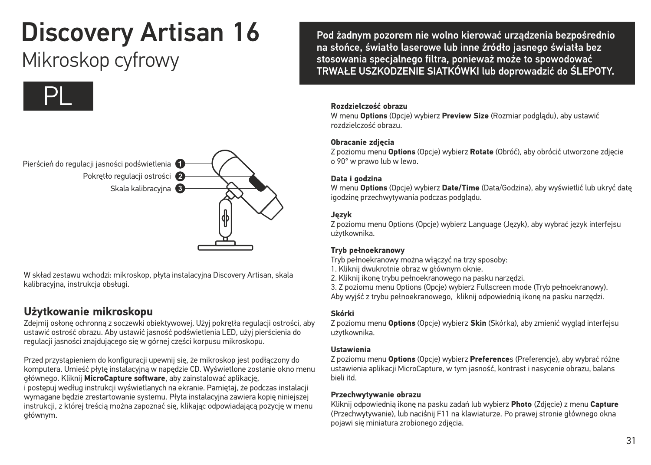## Mikroskop cyfrowy





W skład zestawu wchodzi: mikroskop, płyta instalacyjna Discovery Artisan, skala kalibracyjna, instrukcja obsługi.

## **Użytkowanie mikroskopu**

Zdejmij osłonę ochronną z soczewki obiektywowej. Użyj pokrętła regulacji ostrości, aby ustawić ostrość obrazu. Aby ustawić jasność podświetlenia LED, użyj pierścienia do regulacji jasności znajdującego się w górnej części korpusu mikroskopu.

i postępuj według instrukcji wyświetlanych na ekranie. Pamiętaj, że podczas instalacji wymagane będzie zrestartowanie systemu. Płyta instalacyjna zawiera kopię niniejszej instrukcji, z której treścią można zapoznać się, klikając odpowiadającą pozycję w menu głównym. Przed przystąpieniem do konfiguracji upewnij się, że mikroskop jest podłączony do komputera. Umieść płytę instalacyjną w napędzie CD. Wyświetlone zostanie okno menu głównego. Kliknij **MicroCapture software**, aby zainstalować aplikację,

Pod żadnym pozorem nie wolno kierować urządzenia bezpośrednio na słońce, światło laserowe lub inne źródło jasnego światła bez stosowania specjalnego filtra, ponieważ może to spowodować TRWAŁE USZKODZENIE SIATKÓWKI lub doprowadzić do ŚLEPOTY.

#### **Rozdzielczość obrazu**

W menu **Options** (Opcje) wybierz **Preview Size** (Rozmiar podglądu), aby ustawić rozdzielczość obrazu.

#### **Obracanie zdjęcia**

Z poziomu menu **Options** (Opcje) wybierz **Rotate** (Obróć), aby obrócić utworzone zdjęcie o 90° w prawo lub w lewo.

#### **Data i godzina**

igodzinę przechwytywania podczas podglądu. W menu **Options** (Opcje) wybierz **Date/Time** (Data/Godzina), aby wyświetlić lub ukryć datę

#### **Język**

Z poziomu menu Options (Opcje) wybierz Language (Język), aby wybrać język interfejsu użytkownika.

#### **Tryb pełnoekranowy**

Tryb pełnoekranowy można włączyć na trzy sposoby:

- 1. Kliknij dwukrotnie obraz w głównym oknie.
- 2. Kliknij ikonę trybu pełnoekranowego na pasku narzędzi.

3. Z poziomu menu Options (Opcje) wybierz Fullscreen mode (Tryb pełnoekranowy). Aby wyjść z trybu pełnoekranowego, kliknij odpowiednią ikonę na pasku narzędzi.

#### **Skórki**

Z poziomu menu **Options** (Opcje) wybierz **Skin** (Skórka), aby zmienić wygląd interfejsu użytkownika.

#### **Ustawienia**

bieli itd. Z poziomu menu **Options** (Opcje) wybierz **Preference**s (Preferencje), aby wybrać różne ustawienia aplikacji MicroCapture, w tym jasność, kontrast i nasycenie obrazu, balans

#### **Przechwytywanie obrazu**

Kliknij odpowiednią ikonę na pasku zadań lub wybierz **Photo** (Zdjęcie) z menu **Capture** (Przechwytywanie), lub naciśnij F11 na klawiaturze. Po prawej stronie głównego okna pojawi się miniatura zrobionego zdjęcia.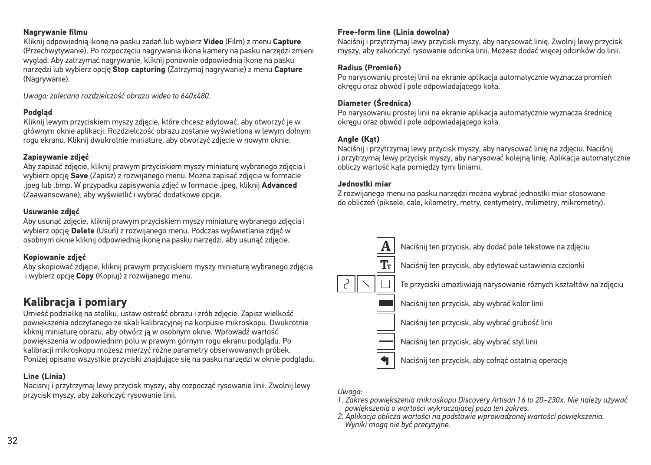#### **Nagrywanie filmu**

Kliknij odpowiednią ikonę na pasku zadań lub wybierz **Video** (Film) z menu **Capture**  (Przechwytywanie). Po rozpoczęciu nagrywania ikona kamery na pasku narzędzi zmieni wygląd. Aby zatrzymać nagrywanie, kliknij ponownie odpowiednią ikonę na pasku narzędzi lub wybierz opcję **Stop capturing** (Zatrzymaj nagrywanie) z menu **Capture** (Nagrywanie).

*Uwaga: zalecana rozdzielczość obrazu wideo to 640x480.*

#### **Podgląd**

Kliknij lewym przyciskiem myszy zdjęcie, które chcesz edytować, aby otworzyć je w głównym oknie aplikacji. Rozdzielczość obrazu zostanie wyświetlona w lewym dolnym rogu ekranu. Kliknij dwukrotnie miniaturę, aby otworzyć zdjęcie w nowym oknie.

#### **Zapisywanie zdjęć**

Aby zapisać zdjęcie, kliknij prawym przyciskiem myszy miniaturę wybranego zdjęcia i wybierz opcję **Save** (Zapisz) z rozwijanego menu. Można zapisać zdjęcia w formacie .jpeg lub .bmp. W przypadku zapisywania zdjęć w formacie .jpeg, kliknij **Advanced** (Zaawansowane), aby wyświetlić i wybrać dodatkowe opcje.

#### **Usuwanie zdjęć**

Aby usunąć zdjęcie, kliknij prawym przyciskiem myszy miniaturę wybranego zdjęcia i wybierz opcję **Delete** (Usuń) z rozwijanego menu. Podczas wyświetlania zdjęć w osobnym oknie kliknij odpowiednią ikonę na pasku narzędzi, aby usunąć zdjęcie.

#### **Kopiowanie zdjęć**

 i wybierz opcję **Copy** (Kopiuj) z rozwijanego menu. Aby skopiować zdjęcie, kliknij prawym przyciskiem myszy miniaturę wybranego zdjęcia

## **Kalibracja i pomiary**

Umieść podziałkę na stoliku, ustaw ostrość obrazu i zrób zdjęcie. Zapisz wielkość powiększenia odczytanego ze skali kalibracyjnej na korpusie mikroskopu. Dwukrotnie kliknij miniaturę obrazu, aby otwórz ją w osobnym oknie. Wprowadź wartość powiększenia w odpowiednim polu w prawym górnym rogu ekranu podglądu. Po kalibracji mikroskopu możesz mierzyć różne parametry obserwowanych próbek. Poniżej opisano wszystkie przyciski znajdujące się na pasku narzędzi w oknie podglądu.

#### **Line (Linia)**

Nacisnij i przytrzymaj lewy przycisk myszy, aby rozpocząć rysowanie linii. Zwolnij lewy przycisk myszy, aby zakończyć rysowanie linii.

#### **Free-form line (Linia dowolna)**

Naciśnij i przytrzymaj lewy przycisk myszy, aby narysować linię. Zwolnij lewy przycisk myszy, aby zakończyć rysowanie odcinka linii. Możesz dodać więcej odcinków do linii.

#### **Radius (Promień)**

Po narysowaniu prostej linii na ekranie aplikacja automatycznie wyznacza promień okręgu oraz obwód i pole odpowiadającego koła.

#### **Diameter (Średnica)**

Po narysowaniu prostej linii na ekranie aplikacja automatycznie wyznacza średnicę okręgu oraz obwód i pole odpowiadającego koła.

#### **Angle (Kąt)**

i przytrzymaj lewy przycisk myszy, aby narysować kolejną linię. Aplikacja automatycznie obliczy wartość kąta pomiędzy tymi liniami. Naciśnij i przytrzymaj lewy przycisk myszy, aby narysować linię na zdjęciu. Naciśnij

#### **Jednostki miar**

Z rozwijanego menu na pasku narzędzi można wybrać jednostki miar stosowane do obliczeń (piksele, cale, kilometry, metry, centymetry, milimetry, mikrometry).



#### *Uwaga:*

*1. Zakres powiększenia mikroskopu Discovery Artisan 16 to 20–230x. Nie należy używać powiększenia o wartości wykraczającej poza ten zakres.*

*2. Aplikacja oblicza wartości na podstawie wprowadzonej wartości powiększenia. Wyniki mogą nie być precyzyjne.*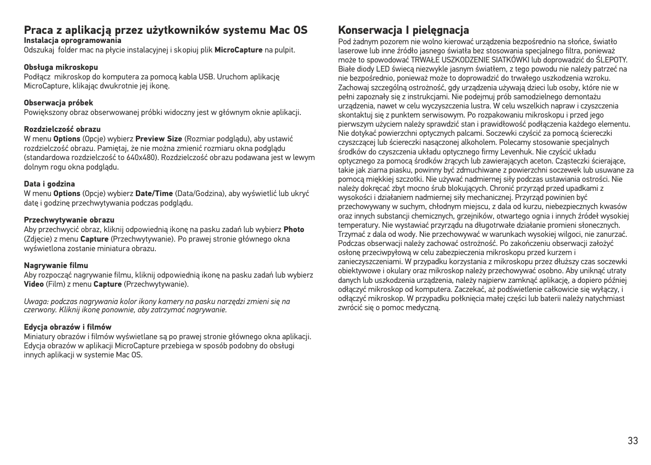#### **Instalacja oprogramowania Praca z aplikacją przez użytkowników systemu Mac OS**

Odszukaj folder mac na płycie instalacyjnej i skopiuj plik **MicroCapture** na pulpit.

#### **Obsługa mikroskopu**

Podłącz mikroskop do komputera za pomocą kabla USB. Uruchom aplikację MicroCapture, klikając dwukrotnie jej ikonę.

#### **Obserwacja próbek**

Powiększony obraz obserwowanej próbki widoczny jest w głównym oknie aplikacji.

#### **Rozdzielczość obrazu**

W menu **Options** (Opcje) wybierz **Preview Size** (Rozmiar podglądu), aby ustawić rozdzielczość obrazu. Pamiętaj, że nie można zmienić rozmiaru okna podglądu (standardowa rozdzielczość to 640x480). Rozdzielczość obrazu podawana jest w lewym dolnym rogu okna podglądu.

#### **Data i godzina**

W menu **Options** (Opcje) wybierz **Date/Time** (Data/Godzina), aby wyświetlić lub ukryć datę i godzinę przechwytywania podczas podglądu.

#### **Przechwytywanie obrazu**

Aby przechwycić obraz, kliknij odpowiednią ikonę na pasku zadań lub wybierz **Photo** (Zdjęcie) z menu **Capture** (Przechwytywanie). Po prawej stronie głównego okna wyświetlona zostanie miniatura obrazu.

#### **Nagrywanie filmu**

Aby rozpocząć nagrywanie filmu, kliknij odpowiednią ikonę na pasku zadań lub wybierz **Video** (Film) z menu **Capture** (Przechwytywanie).

*Uwaga: podczas nagrywania kolor ikony kamery na pasku narzędzi zmieni się na czerwony. Kliknij ikonę ponownie, aby zatrzymać nagrywanie.*

#### **Edycja obrazów i filmów**

Miniatury obrazów i filmów wyświetlane są po prawej stronie głównego okna aplikacji. Edycja obrazów w aplikacji MicroCapture przebiega w sposób podobny do obsługi innych aplikacji w systemie Mac OS.

## **Konserwacja I pielęgnacja**

Pod żadnym pozorem nie wolno kierować urządzenia bezpośrednio na słońce, światło laserowe lub inne źródło jasnego światła bez stosowania specjalnego filtra, ponieważ może to spowodować TRWAŁE USZKODZENIE SIATKÓWKI lub doprowadzić do ŚLEPOTY. Białe diody LED świecą niezwykle jasnym światłem, z tego powodu nie należy patrzeć na nie bezpośrednio, ponieważ może to doprowadzić do trwałego uszkodzenia wzroku. Zachowaj szczególną ostrożność, gdy urządzenia używają dzieci lub osoby, które nie w pełni zapoznały się z instrukcjami. Nie podejmuj prób samodzielnego demontażu urządzenia, nawet w celu wyczyszczenia lustra. W celu wszelkich napraw i czyszczenia skontaktuj się z punktem serwisowym. Po rozpakowaniu mikroskopu i przed jego pierwszym użyciem należy sprawdzić stan i prawidłowość podłączenia każdego elementu. Nie dotykać powierzchni optycznych palcami. Soczewki czyścić za pomocą ściereczki czyszczącej lub ściereczki nasączonej alkoholem. Polecamy stosowanie specjalnych środków do czyszczenia układu optycznego firmy Levenhuk. Nie czyścić układu optycznego za pomocą środków żrących lub zawierających aceton. Cząsteczki ścierające, takie jak ziarna piasku, powinny być zdmuchiwane z powierzchni soczewek lub usuwane za pomocą miękkiej szczotki. Nie używać nadmiernej siły podczas ustawiania ostrości. Nie należy dokręcać zbyt mocno śrub blokujących. Chronić przyrząd przed upadkami z wysokości i działaniem nadmiernej siły mechanicznej. Przyrząd powinien być przechowywany w suchym, chłodnym miejscu, z dala od kurzu, niebezpiecznych kwasów oraz innych substancji chemicznych, grzejników, otwartego ognia i innych źródeł wysokiej temperatury. Nie wystawiać przyrządu na długotrwałe działanie promieni słonecznych. Trzymać z dala od wody. Nie przechowywać w warunkach wysokiej wilgoci, nie zanurzać. Podczas obserwacji należy zachować ostrożność. Po zakończeniu obserwacji założyć osłonę przeciwpyłową w celu zabezpieczenia mikroskopu przed kurzem i zanieczyszczeniami. W przypadku korzystania z mikroskopu przez dłuższy czas soczewki obiektywowe i okulary oraz mikroskop należy przechowywać osobno. Aby uniknąć utraty danych lub uszkodzenia urządzenia, należy najpierw zamknąć aplikację, a dopiero później odłączyć mikroskop od komputera. Zaczekać, aż podświetlenie całkowicie się wyłączy, i odłączyć mikroskop. W przypadku połknięcia małej części lub baterii należy natychmiast zwrócić się o pomoc medyczną.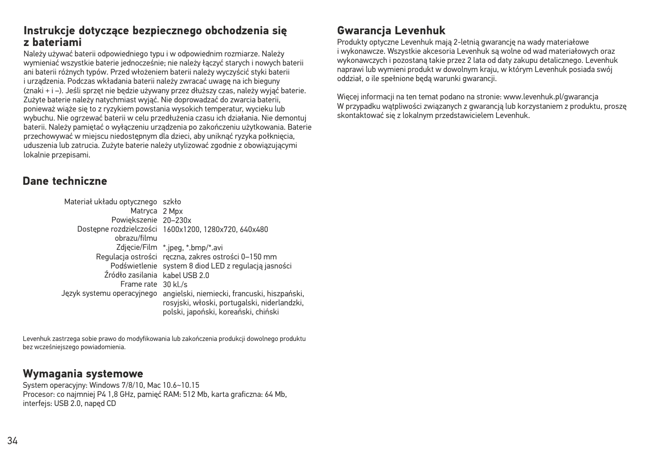## **Instrukcje dotyczące bezpiecznego obchodzenia się z bateriami**

Należy używać baterii odpowiedniego typu i w odpowiednim rozmiarze. Należy wymieniać wszystkie baterie jednocześnie; nie należy łączyć starych i nowych baterii ani baterii różnych typów. Przed włożeniem baterii należy wyczyścić styki baterii i urządzenia. Podczas wkładania baterii należy zwracać uwagę na ich bieguny (znaki + i –). Jeśli sprzęt nie będzie używany przez dłuższy czas, należy wyjąć baterie. Zużyte baterie należy natychmiast wyjąć. Nie doprowadzać do zwarcia baterii, ponieważ wiąże się to z ryzykiem powstania wysokich temperatur, wycieku lub wybuchu. Nie ogrzewać baterii w celu przedłużenia czasu ich działania. Nie demontuj baterii. Należy pamiętać o wyłączeniu urządzenia po zakończeniu użytkowania. Baterie przechowywać w miejscu niedostępnym dla dzieci, aby uniknąć ryzyka połknięcia, uduszenia lub zatrucia. Zużyte baterie należy utylizować zgodnie z obowiązującymi lokalnie przepisami.

## **Dane techniczne**

| Materiał układu optycznego szkło |                                                      |
|----------------------------------|------------------------------------------------------|
| Matryca 2 Mpx                    |                                                      |
| Powiekszenie 20-230x             |                                                      |
|                                  | Dostępne rozdzielczości 1600x1200, 1280x720, 640x480 |
| obrazu/filmu                     |                                                      |
|                                  | Zdjęcie/Film *.jpeg, *.bmp/*.avi                     |
|                                  | Regulacja ostrości reczna, zakres ostrości 0-150 mm  |
|                                  | Podświetlenie system 8 diod LED z regulacją jasności |
| Źródło zasilania kabel USB 2.0   |                                                      |
| Frame rate 30 kl./s              |                                                      |
| Język systemu operacyjnego       | angielski, niemiecki, francuski, hiszpański,         |
|                                  | rosyjski, włoski, portugalski, niderlandzki,         |
|                                  | polski, japoński, koreański, chiński                 |

Levenhuk zastrzega sobie prawo do modyfikowania lub zakończenia produkcji dowolnego produktu bez wcześniejszego powiadomienia.

### **Wymagania systemowe**

System operacyjny: Windows 7/8/10, Mac 10.6~10.15 Procesor:co najmniej P4 1,8 GHz, pamięć RAM: 512 Mb, karta graficzna: 64 Mb, interfejs:USB 2.0, napęd CD

## **Gwarancja Levenhuk**

Produkty optyczne Levenhuk mają 2-letnią gwarancję na wady materiałowe i wykonawcze. Wszystkie akcesoria Levenhuk są wolne od wad materiałowych oraz wykonawczych i pozostaną takie przez 2 lata od daty zakupu detalicznego. Levenhuk naprawi lub wymieni produkt w dowolnym kraju, w którym Levenhuk posiada swój oddział, o ile spełnione będą warunki gwarancji.

Więcej informacji na ten temat podano na stronie: www.levenhuk.pl/gwarancja W przypadku wątpliwości związanych z gwarancją lub korzystaniem z produktu, proszę skontaktować się z lokalnym przedstawicielem Levenhuk.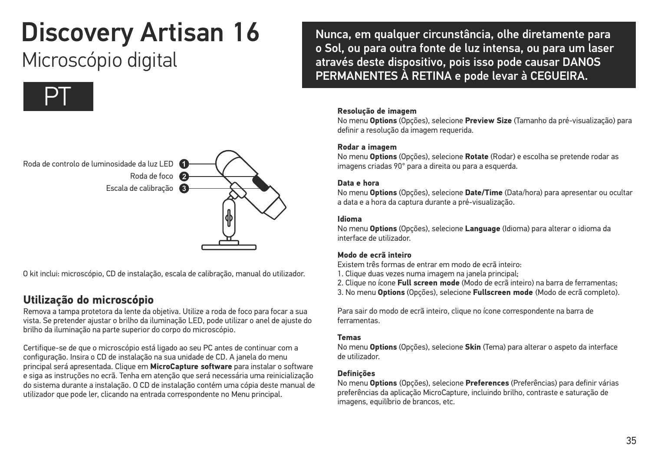## Microscópio digital





O kit inclui: microscópio, CD de instalação, escala de calibração, manual do utilizador.

## **Utilização do microscópio**

Remova a tampa protetora da lente da objetiva. Utilize a roda de foco para focar a sua vista. Se pretender ajustar o brilho da iluminação LED, pode utilizar o anel de ajuste do brilho da iluminação na parte superior do corpo do microscópio.

Certifique-se de que o microscópio está ligado ao seu PC antes de continuar com a configuração. Insira o CD de instalação na sua unidade de CD. A janela do menu principal será apresentada. Clique em **MicroCapture software** para instalar o software e siga as instruções no ecrã. Tenha em atenção que será necessária uma reinicialização do sistema durante a instalação. O CD de instalação contém uma cópia deste manual de utilizador que pode ler, clicando na entrada correspondente no Menu principal.

Nunca, em qualquer circunstância, olhe diretamente para o Sol, ou para outra fonte de luz intensa, ou para um laser através deste dispositivo, pois isso pode causar DANOS PERMANENTES À RETINA e pode levar à CEGUEIRA.

#### **Resolução de imagem**

No menu **Options** (Opções), selecione **Preview Size** (Tamanho da pré-visualização) para definir a resolução da imagem requerida.

#### **Rodar a imagem**

No menu **Options** (Opções), selecione **Rotate** (Rodar) e escolha se pretende rodar as imagens criadas 90° para a direita ou para a esquerda.

#### **Data e hora**

No menu **Options** (Opções), selecione **Date/Time** (Data/hora) para apresentar ou ocultar a data e a hora da captura durante a pré-visualização.

#### **Idioma**

No menu **Options** (Opções), selecione **Language** (Idioma) para alterar o idioma da interface de utilizador.

#### **Modo de ecrã inteiro**

Existem três formas de entrar em modo de ecrã inteiro:

- 1. Clique duas vezes numa imagem na janela principal;
- 2. Clique no ícone **Full screen mode** (Modo de ecrã inteiro) na barra de ferramentas;
- 3. No menu **Options** (Opções), selecione **Fullscreen mode** (Modo de ecrã completo).

Para sair do modo de ecrã inteiro, clique no ícone correspondente na barra de ferramentas.

#### **Temas**

No menu **Options** (Opções), selecione **Skin** (Tema) para alterar o aspeto da interface de utilizador.

#### **Definições**

No menu **Options** (Opções), selecione **Preferences** (Preferências) para definir várias preferências da aplicação MicroCapture, incluindo brilho, contraste e saturação de imagens, equilíbrio de brancos, etc.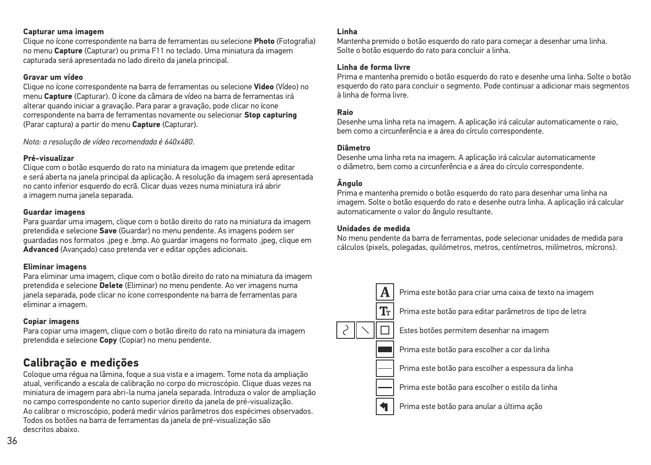#### **Capturar uma imagem**

Clique no ícone correspondente na barra de ferramentas ou selecione **Photo** (Fotografia) no menu **Capture** (Capturar) ou prima F11 no teclado. Uma miniatura da imagem capturada será apresentada no lado direito da janela principal.

#### **Gravar um vídeo**

Clique no ícone correspondente na barra de ferramentas ou selecione **Video** (Vídeo) no menu **Capture** (Capturar). O ícone da câmara de vídeo na barra de ferramentas irá alterar quando iniciar a gravação. Para parar a gravação, pode clicar no ícone correspondente na barra de ferramentas novamente ou selecionar **Stop capturing** (Parar captura) a partir do menu **Capture** (Capturar).

*Nota: a resolução de vídeo recomendada é 640x480.*

#### **Pré-visualizar**

Clique com o botão esquerdo do rato na miniatura da imagem que pretende editar e será aberta na janela principal da aplicação. A resolução da imagem será apresentada no canto inferior esquerdo do ecrã. Clicar duas vezes numa miniatura irá abrir a imagem numa janela separada.

#### **Guardar imagens**

Para guardar uma imagem, clique com o botão direito do rato na miniatura da imagem pretendida e selecione **Save** (Guardar) no menu pendente. As imagens podem ser guardadas nos formatos .jpeg e .bmp. Ao guardar imagens no formato .jpeg, clique em **Advanced** (Avançado) caso pretenda ver e editar opções adicionais.

#### **Eliminar imagens**

Para eliminar uma imagem, clique com o botão direito do rato na miniatura da imagem pretendida e selecione **Delete** (Eliminar) no menu pendente. Ao ver imagens numa janela separada, pode clicar no ícone correspondente na barra de ferramentas para eliminar a imagem.

#### **Copiar imagens**

Para copiar uma imagem, clique com o botão direito do rato na miniatura da imagem pretendida e selecione **Copy** (Copiar) no menu pendente.

## **Calibração e medições**

Coloque uma régua na lâmina, foque a sua vista e a imagem. Tome nota da ampliação atual, verificando a escala de calibração no corpo do microscópio. Clique duas vezes na miniatura de imagem para abri-la numa janela separada. Introduza o valor de ampliação no campo correspondente no canto superior direito da janela de pré-visualização. Ao calibrar o microscópio, poderá medir vários parâmetros dos espécimes observados. Todos os botões na barra de ferramentas da janela de pré-visualização são descritos abaixo.

#### **Linha**

Mantenha premido o botão esquerdo do rato para começar a desenhar uma linha. Solte o botão esquerdo do rato para concluir a linha.

#### **Linha de forma livre**

Prima e mantenha premido o botão esquerdo do rato e desenhe uma linha. Solte o botão esquerdo do rato para concluir o segmento. Pode continuar a adicionar mais segmentos à linha de forma livre.

#### **Raio**

Desenhe uma linha reta na imagem. A aplicação irá calcular automaticamente o raio, bem como a circunferência e a área do círculo correspondente.

#### **Diâmetro**

Desenhe uma linha reta na imagem. A aplicação irá calcular automaticamente o diâmetro, bem como a circunferência e a área do círculo correspondente.

#### **Ângulo**

Prima e mantenha premido o botão esquerdo do rato para desenhar uma linha na imagem. Solte o botão esquerdo do rato e desenhe outra linha. A aplicação irá calcular automaticamente o valor do ângulo resultante.

#### **Unidades de medida**

No menu pendente da barra de ferramentas, pode selecionar unidades de medida para cálculos (pixels, polegadas, quilómetros, metros, centímetros, milímetros, mícrons).

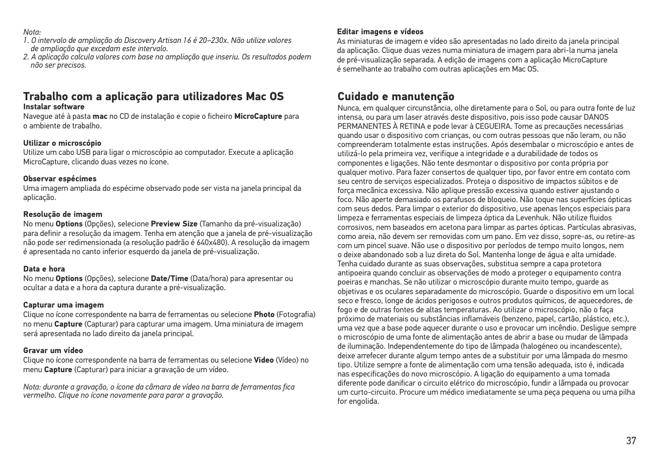#### *Nota:*

- *1. O intervalo de ampliação do Discovery Artisan 16 é 20–230x. Não utilize valores de ampliação que excedam este intervalo.*
- *2. A aplicação calcula valores com base na ampliação que inseriu. Os resultados podem não ser precisos.*

#### **Trabalho com a aplicação para utilizadores Mac OS Instalar software**

Navegue até à pasta **mac** no CD de instalação e copie o ficheiro **MicroCapture** para o ambiente de trabalho.

#### **Utilizar o microscópio**

Utilize um cabo USB para ligar o microscópio ao computador. Execute a aplicação MicroCapture, clicando duas vezes no ícone.

#### **Observar espécimes**

Uma imagem ampliada do espécime observado pode ser vista na janela principal da aplicação.

#### **Resolução de imagem**

No menu **Options** (Opções), selecione **Preview Size** (Tamanho da pré-visualização) para definir a resolução da imagem. Tenha em atenção que a janela de pré-visualização não pode ser redimensionada (a resolução padrão é 640x480). A resolução da imagem é apresentada no canto inferior esquerdo da janela de pré-visualização.

#### **Data e hora**

No menu **Options** (Opções), selecione **Date/Time** (Data/hora) para apresentar ou ocultar a data e a hora da captura durante a pré-visualização.

#### **Capturar uma imagem**

Clique no ícone correspondente na barra de ferramentas ou selecione **Photo** (Fotografia) no menu **Capture** (Capturar) para capturar uma imagem. Uma miniatura de imagem será apresentada no lado direito da janela principal.

#### **Gravar um vídeo**

Clique no ícone correspondente na barra de ferramentas ou selecione **Video** (Vídeo) no menu **Capture** (Capturar) para iniciar a gravação de um vídeo.

*Nota: durante a gravação, o ícone da câmara de vídeo na barra de ferramentas fica vermelho. Clique no ícone novamente para parar a gravação.*

#### **Editar imagens e vídeos**

As miniaturas de imagem e vídeo são apresentadas no lado direito da janela principal da aplicação. Clique duas vezes numa miniatura de imagem para abri-la numa janela de pré-visualização separada. A edição de imagens com a aplicação MicroCapture é semelhante ao trabalho com outras aplicações em Mac OS.

## **Cuidado e manutenção**

Nunca, em qualquer circunstância, olhe diretamente para o Sol, ou para outra fonte de luz intensa, ou para um laser através deste dispositivo, pois isso pode causar DANOS PERMANENTES À RETINA e pode levar à CEGUEIRA. Tome as precauções necessárias quando usar o dispositivo com crianças, ou com outras pessoas que não leram, ou não compreenderam totalmente estas instruções. Após desembalar o microscópio e antes de utilizá-lo pela primeira vez, verifique a integridade e a durabilidade de todos os componentes e ligações. Não tente desmontar o dispositivo por conta própria por qualquer motivo. Para fazer consertos de qualquer tipo, por favor entre em contato com seu centro de serviços especializados. Proteja o dispositivo de impactos súbitos e de força mecânica excessiva. Não aplique pressão excessiva quando estiver ajustando o foco. Não aperte demasiado os parafusos de bloqueio. Não toque nas superfícies ópticas com seus dedos. Para limpar o exterior do dispositivo, use apenas lenços especiais para limpeza e ferramentas especiais de limpeza óptica da Levenhuk. Não utilize fluidos corrosivos, nem baseados em acetona para limpar as partes ópticas. Partículas abrasivas, como areia, não devem ser removidas com um pano. Em vez disso, sopre-as, ou retire-as com um pincel suave. Não use o dispositivo por períodos de tempo muito longos, nem o deixe abandonado sob a luz direta do Sol. Mantenha longe de água e alta umidade. Tenha cuidado durante as suas observações, substitua sempre a capa protetora antipoeira quando concluir as observações de modo a proteger o equipamento contra poeiras e manchas. Se não utilizar o microscópio durante muito tempo, guarde as objetivas e os oculares separadamente do microscópio. Guarde o dispositivo em um local seco e fresco, longe de ácidos perigosos e outros produtos químicos, de aquecedores, de fogo e de outras fontes de altas temperaturas. Ao utilizar o microscópio, não o faça próximo de materiais ou substâncias inflamáveis (benzeno, papel, cartão, plástico, etc.), uma vez que a base pode aquecer durante o uso e provocar um incêndio. Desligue sempre o microscópio de uma fonte de alimentação antes de abrir a base ou mudar de lâmpada de iluminação. Independentemente do tipo de lâmpada (halogéneo ou incandescente), deixe arrefecer durante algum tempo antes de a substituir por uma lâmpada do mesmo tipo. Utilize sempre a fonte de alimentação com uma tensão adequada, isto é, indicada nas especificações do novo microscópio. A ligação do equipamento a uma tomada diferente pode danificar o circuito elétrico do microscópio, fundir a lâmpada ou provocar um curto-circuito. Procure um médico imediatamente se uma peça pequena ou uma pilha for engolida.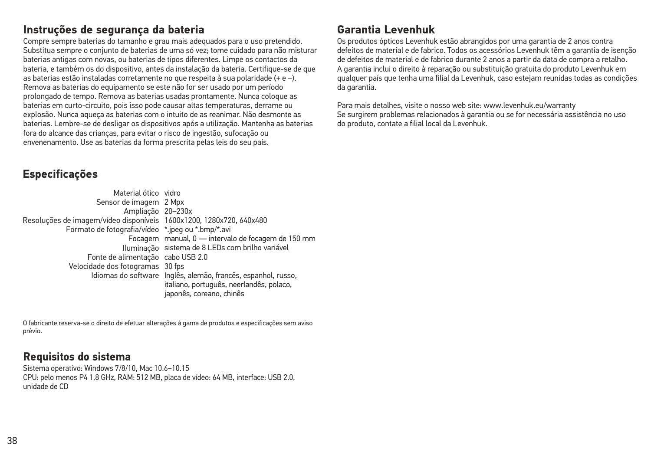## **Instruções de segurança da bateria**

Compre sempre baterias do tamanho e grau mais adequados para o uso pretendido. Substitua sempre o conjunto de baterias de uma só vez; tome cuidado para não misturar baterias antigas com novas, ou baterias de tipos diferentes. Limpe os contactos da bateria, e também os do dispositivo, antes da instalação da bateria. Certifique-se de que as baterias estão instaladas corretamente no que respeita à sua polaridade (+ e −). Remova as baterias do equipamento se este não for ser usado por um período prolongado de tempo. Remova as baterias usadas prontamente. Nunca coloque as baterias em curto-circuito, pois isso pode causar altas temperaturas, derrame ou explosão. Nunca aqueça as baterias com o intuito de as reanimar. Não desmonte as baterias. Lembre-se de desligar os dispositivos após a utilização. Mantenha as baterias fora do alcance das crianças, para evitar o risco de ingestão, sufocação ou envenenamento. Use as baterias da forma prescrita pelas leis do seu país.

## **Especificações**

Material ótico vidro Sensor de imagem 2 Mpx Ampliação 20–230х Resoluções de imagem/vídeo disponíveis 1600x1200, 1280x720, 640x480 Formato de fotografia/vídeo \*.jpeg ou \*.bmp/\*.avi Focagem manual, 0 — intervalo de focagem de 150 mm Iluminação sistema de 8 LEDs com brilho variável Fonte de alimentação cabo USB 2.0 Velocidade dos fotogramas 30 fps Idiomas do software Inglês, alemão, francês, espanhol, russo, italiano, português, neerlandês, polaco, japonês, coreano, chinês

O fabricante reserva-se o direito de efetuar alterações à gama de produtos e especificações sem aviso prévio.

### **Requisitos do sistema**

Sistema operativo: Windows 7/8/10, Mac 10.6~10.15 CPU: pelo menos P4 1,8 GHz, RAM: 512 MB, placa de vídeo: 64 MB, interface: USB 2.0, unidade de CD

### **Garantia Levenhuk**

Os produtos ópticos Levenhuk estão abrangidos por uma garantia de 2 anos contra defeitos de material e de fabrico. Todos os acessórios Levenhuk têm a garantia de isenção de defeitos de material e de fabrico durante 2 anos a partir da data de compra a retalho. A garantia inclui o direito à reparação ou substituição gratuita do produto Levenhuk em qualquer país que tenha uma filial da Levenhuk, caso estejam reunidas todas as condições da garantia.

Se surgirem problemas relacionados à garantia ou se for necessária assistência no uso do produto, contate a filial local da Levenhuk. Para mais detalhes, visite o nosso web site: www.levenhuk.eu/warranty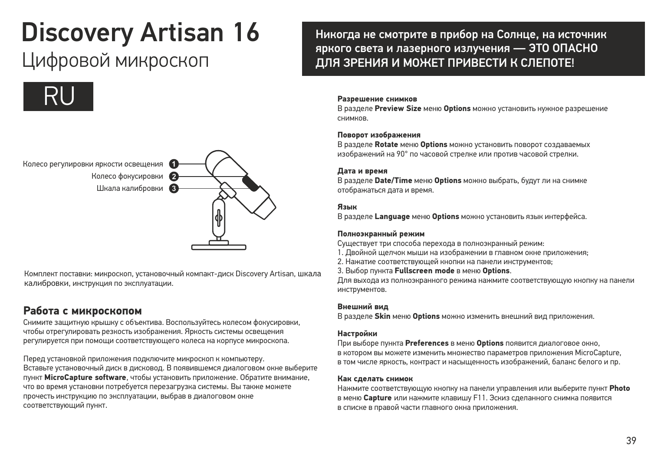## Цифровой микроскоп





Комплект поставки: микроскоп, установочный компакт-диск Discovery Artisan, шкала калибровки, инструкция по эксплуатации.

## **Работа с микроскопом**

Снимите защитную крышку с объектива. Воспользуйтесь колесом фокусировки, чтобы отрегулировать резкость изображения. Яркость системы освещения регулируется при помощи соответствующего колеса на корпусе микроскопа.

Перед установкой приложения подключите микроскоп к компьютеру. Вставьте установочный диск в дисковод. В появившемся диалоговом окне выберите пункт **MicroCapture software**, чтобы установить приложение. Обратите внимание, что во время установки потребуется перезагрузка системы. Вы также можете прочесть инструкцию по эксплуатации, выбрав в диалоговом окне соответствующий пункт.

Никогда не смотрите в прибор на Солнце, на источник яркого света и лазерного излучения — ЭТО ОПАСНО ДЛЯ ЗРЕНИЯ И МОЖЕТ ПРИВЕСТИ К СЛЕПОТЕ!

#### **Разрешение снимков**

В разделе **Preview Size** меню **Options** можно установить нужное разрешение снимков.

#### **Поворот изображения**

В разделе **Rotate** меню **Options** можно установить поворот создаваемых изображений на 90° по часовой стрелке или против часовой стрелки.

#### **Дата и время**

В разделе **Date/Time** меню **Options** можно выбрать, будут ли на снимке отображаться дата и время.

## **Язык**

В разделе **Language** меню **Options** можно установить язык интерфейса.

#### **Полноэкранный режим**

Существует три способа перехода в полноэкранный режим:

- 1. Двойной щелчок мыши на изображении в главном окне приложения;
- 2. Нажатие соответствующей кнопки на панели инструментов;
- 3. Выбор пункта **Fullscreen mode** в меню **Options**.

Для выхода из полноэкранного режима нажмите соответствующую кнопку на панели инструментов.

#### **Внешний вид**

В разделе **Skin** меню **Options** можно изменить внешний вид приложения.

#### **Настройки**

в том числе яркость, контраст и насыщенность изображений, баланс белого и пр. При выборе пункта **Preferences** в меню **Options** появится диалоговое окно, в котором вы можете изменить множество параметров приложения MicroCapture,

#### **Как сделать снимок**

Нажмите соответствующую кнопку на панели управления или выберите пункт **Photo** в меню **Capture** или нажмите клавишу F11. Эскиз сделанного снимка появится в списке в правой части главного окна приложения.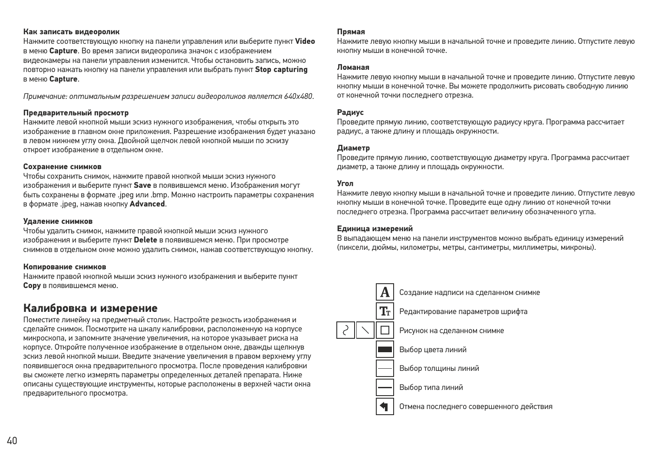#### **Как записать видеоролик**

Нажмите соответствующую кнопку на панели управления или выберите пункт **Video** в меню **Capture**. Во время записи видеоролика значок с изображением видеокамеры на панели управления изменится. Чтобы остановить запись, можно повторно нажать кнопку на панели управления или выбрать пункт **Stop capturing** в меню **Capture**.

*Примечание: оптимальным разрешением записи видеороликов является 640x480.*

#### **Предварительный просмотр**

Нажмите левой кнопкой мыши эскиз нужного изображения, чтобы открыть это изображение в главном окне приложения. Разрешение изображения будет указано в левом нижнем углу окна. Двойной щелчок левой кнопкой мыши по эскизу откроет изображение в отдельном окне.

#### **Сохранение снимков**

Чтобы сохранить снимок, нажмите правой кнопкой мыши эскиз нужного изображения и выберите пункт **Save** в появившемся меню. Изображения могут быть сохранены в формате .jpeg или .bmp. Можно настроить параметры сохранения в формате .jpeg, нажав кнопку **Advanced**.

#### **Удаление снимков**

Чтобы удалить снимок, нажмите правой кнопкой мыши эскиз нужного изображения и выберите пункт **Delete** в появившемся меню. При просмотре снимков в отдельном окне можно удалить снимок, нажав соответствующую кнопку.

#### **Копирование снимков**

Нажмите правой кнопкой мыши эскиз нужного изображения и выберите пункт **Copy** в появившемся меню.

### **Калибровка и измерение**

Поместите линейку на предметный столик. Настройте резкость изображения и сделайте снимок. Посмотрите на шкалу калибровки, расположенную на корпусе микроскопа, и запомните значение увеличения, на которое указывает риска на корпусе. Откройте полученное изображение в отдельном окне, дважды щелкнув эскиз левой кнопкой мыши. Введите значение увеличения в правом верхнему углу появившегося окна предварительного просмотра. После проведения калибровки вы сможете легко измерять параметры определенных деталей препарата. Ниже описаны существующие инструменты, которые расположены в верхней части окна предварительного просмотра.

#### **Прямая**

Нажмите левую кнопку мыши в начальной точке и проведите линию. Отпустите левую кнопку мыши в конечной точке.

#### **Ломаная**

Нажмите левую кнопку мыши в начальной точке и проведите линию. Отпустите левую кнопку мыши в конечной точке. Вы можете продолжить рисовать свободную линию от конечной точки последнего отрезка.

#### **Радиус**

Проведите прямую линию, соответствующую радиусу круга. Программа рассчитает радиус, а также длину и площадь окружности.

#### **Диаметр**

Проведите прямую линию, соответствующую диаметру круга. Программа рассчитает диаметр, а также длину и площадь окружности.

#### **Угол**

Нажмите левую кнопку мыши в начальной точке и проведите линию. Отпустите левую кнопку мыши в конечной точке. Проведите еще одну линию от конечной точки последнего отрезка. Программа рассчитает величину обозначенного угла.

#### **Единица измерений**

В выпадающем меню на панели инструментов можно выбрать единицу измерений (пиксели, дюймы, километры, метры, сантиметры, миллиметры, микроны).

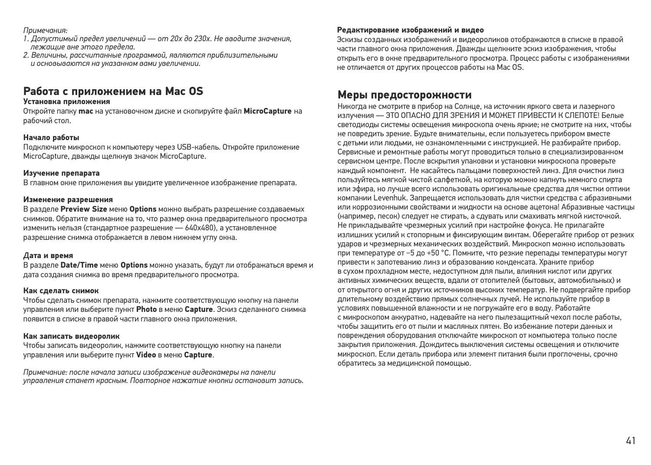#### *Примечания:*

- *1. Допустимый предел увеличений — от 20х до 230х. Не вводите значения, лежащие вне этого предела.*
- *2. Величины, рассчитанные программой, являются приблизительными и основываются на указанном вами увеличении.*

### **Работа с приложением на Mac OS**

#### **Установка приложения**

Откройте папку **mac** на установочном диске и скопируйте файл **MicroCapture** на рабочий стол.

#### **Начало работы**

Подключите микроскоп к компьютеру через USB-кабель. Откройте приложение MicroCapture, дважды щелкнув значок MicroCapture.

#### **Изучение препарата**

В главном окне приложения вы увидите увеличенное изображение препарата.

#### **Изменение разрешения**

В разделе **Preview Size** меню **Options** можно выбрать разрешение создаваемых снимков. Обратите внимание на то, что размер окна предварительного просмотра изменить нельзя (стандартное разрешение — 640х480), а установленное разрешение снимка отображается в левом нижнем углу окна.

#### **Дата и время**

В разделе **Date/Time** меню **Options** можно указать, будут ли отображаться время и дата создания снимка во время предварительного просмотра.

#### **Как сделать снимок**

Чтобы сделать снимок препарата, нажмите соответствующую кнопку на панели управления или выберите пункт **Photo** в меню **Capture**. Эскиз сделанного снимка появится в списке в правой части главного окна приложения.

#### **Как записать видеоролик**

Чтобы записать видеоролик, нажмите соответствующую кнопку на панели управления или выберите пункт **Video** в меню **Capture**.

*Примечание: после начала записи изображение видеокамеры на панели управления станет красным. Повторное нажатие кнопки остановит запись.*

#### **Редактирование изображений и видео**

Эскизы созданных изображений и видеороликов отображаются в списке в правой части главного окна приложения. Дважды щелкните эскиз изображения, чтобы открыть его в окне предварительного просмотра. Процесс работы с изображениями не отличается от других процессов работы на Mac OS.

### **Меры предосторожности**

Никогда не смотрите в прибор на Солнце, на источник яркого света и лазерного излучения — ЭТО ОПАСНО ДЛЯ ЗРЕНИЯ И МОЖЕТ ПРИВЕСТИ К СЛЕПОТЕ! Белые светодиоды системы освещения микроскопа очень яркие; не смотрите на них, чтобы не повредить зрение. Будьте внимательны, если пользуетесь прибором вместе с детьми или людьми, не ознакомленными с инструкцией. Не разбирайте прибор. Сервисные и ремонтные работы могут проводиться только в специализированном сервисном центре. После вскрытия упаковки и установки микроскопа проверьте каждый компонент. Не касайтесь пальцами поверхностей линз. Для очистки линз пользуйтесь мягкой чистой салфеткой, на которую можно капнуть немного спирта или эфира, но лучше всего использовать оригинальные средства для чистки оптики компании Levenhuk. Запрещается использовать для чистки средства с абразивными или коррозионными свойствами и жидкости на основе ацетона! Абразивные частицы (например, песок) следует не стирать, а сдувать или смахивать мягкой кисточкой. Не прикладывайте чрезмерных усилий при настройке фокуса. Не прилагайте излишних усилий к стопорным и фиксирующим винтам. Оберегайте прибор от резких ударов и чрезмерных механических воздействий. Микроскоп можно использовать при температуре от −5 до +50 °С. Помните, что резкие перепады температуры могут привести к запотеванию линз и образованию конденсата. Храните прибор в сухом прохладном месте, недоступном для пыли, влияния кислот или других активных химических веществ, вдали от отопителей (бытовых, автомобильных) и от открытого огня и других источников высоких температур. Не подвергайте прибор длительному воздействию прямых солнечных лучей. Не используйте прибор в условиях повышенной влажности и не погружайте его в воду. Работайте с микроскопом аккуратно, надевайте на него пылезащитный чехол после работы, чтобы защитить его от пыли и масляных пятен. Во избежание потери данных и повреждения оборудования отключайте микроскоп от компьютера только после закрытия приложения. Дождитесь выключения системы освещения и отключите микроскоп. Если деталь прибора или элемент питания были проглочены, срочно обратитесь за медицинской помощью.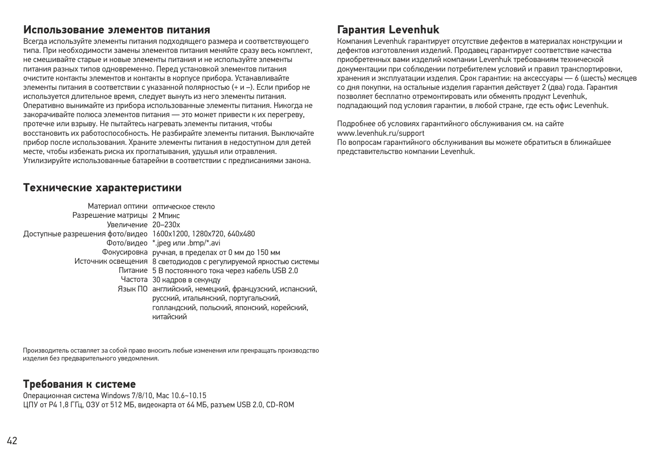### **Использование элементов питания**

Всегда используйте элементы питания подходящего размера и соответствующего типа. При необходимости замены элементов питания меняйте сразу весь комплект, не смешивайте старые и новые элементы питания и не используйте элементы питания разных типов одновременно. Перед установкой элементов питания очистите контакты элементов и контакты в корпусе прибора. Устанавливайте элементы питания в соответствии с указанной полярностью (+ и –). Если прибор не используется длительное время, следует вынуть из него элементы питания. Оперативно вынимайте из прибора использованные элементы питания. Никогда не закорачивайте полюса элементов питания — это может привести к их перегреву, протечке или взрыву. Не пытайтесь нагревать элементы питания, чтобы восстановить их работоспособность. Не разбирайте элементы питания. Выключайте прибор после использования. Храните элементы питания в недоступном для детей месте, чтобы избежать риска их проглатывания, удушья или отравления. Утилизируйте использованные батарейки в соответствии с предписаниями закона.

#### **Технические характеристики**

Материал оптики оптическое стекло Разрешение матрицы 2 Мпикс Увеличение 20–230х Доступные разрешения фото/видео 1600x1200, 1280x720, 640x480 Фото/видео \*.jpeg или .bmp/\*.avi Фокусировка ручная, в пределах от 0 мм до 150 мм Источник освещения 8 светодиодов с регулируемой яркостью системы Питание 5 В постоянного тока через кабель USB 2.0 Частота 30 кадров в секунду Язык ПО английский, немецкий, французский, испанский, русский, итальянский, португальский, голландский, польский, японский, корейский, китайский

Производитель оставляет за собой право вносить любые изменения или прекращать производство изделия без предварительного уведомления.

### **Требования к системе**

Операционная система Windows 7/8/10, Mac 10.6~10.15 ЦПУ от P4 1,8 ГГц, ОЗУ от 512 МБ, видеокарта от 64 МБ, разъем USB 2.0, CD-ROM

## **Гарантия Levenhuk**

Компания Levenhuk гарантирует отсутствие дефектов в материалах конструкции и дефектов изготовления изделий. Продавец гарантирует соответствие качества приобретенных вами изделий компании Levenhuk требованиям технической документации при соблюдении потребителем условий и правил транспортировки, хранения и эксплуатации изделия. Срок гарантии: на аксессуары — 6 (шесть) месяцев со дня покупки, на остальные изделия гарантия действует 2 (два) года. Гарантия позволяет бесплатно отремонтировать или обменять продукт Levenhuk, подпадающий под условия гарантии, в любой стране, где есть офис Levenhuk.

Подробнее об условиях гарантийного обслуживания см. на сайте www.levenhuk.ru/support

По вопросам гарантийного обслуживания вы можете обратиться в ближайшее представительство компании Levenhuk.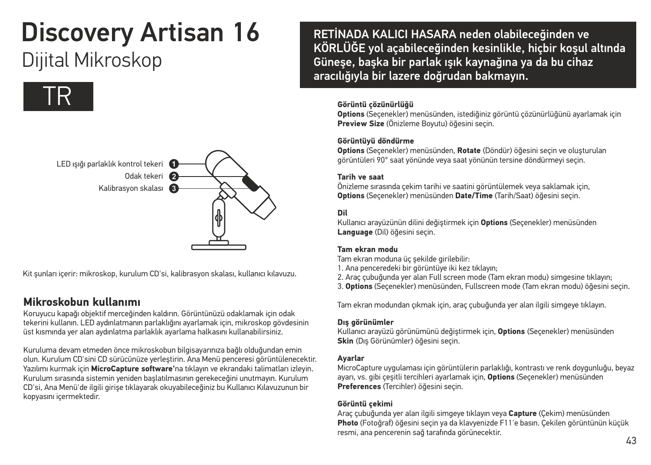## Dijital Mikroskop Discovery Artisan 16





Kit şunları içerir: mikroskop, kurulum CD'si, kalibrasyon skalası, kullanıcı kılavuzu.

### **Mikroskobun kullanımı**

Koruyucu kapağı objektif merceğinden kaldırın. Görüntünüzü odaklamak için odak tekerini kullanın. LED aydınlatmanın parlaklığını ayarlamak için, mikroskop gövdesinin üst kısmında yer alan aydınlatma parlaklık ayarlama halkasını kullanabilirsiniz.

Kuruluma devam etmeden önce mikroskobun bilgisayarınıza bağlı olduğundan emin olun. Kurulum CD'sini CD sürücünüze yerleştirin. Ana Menü penceresi görüntülenecektir. Yazılımı kurmak için **MicroCapture software'**na tıklayın ve ekrandaki talimatları izleyin. Kurulum sırasında sistemin yeniden başlatılmasının gerekeceğini unutmayın. Kurulum CD'si, Ana Menü'de ilgili girişe tıklayarak okuyabileceğiniz bu Kullanıcı Kılavuzunun bir kopyasını içermektedir.

RETİNADA KALICI HASARA neden olabileceğinden ve KÖRLÜĞE yol açabileceğinden kesinlikle, hiçbir koşul altında Güneşe, başka bir parlak ışık kaynağına ya da bu cihaz aracılığıyla bir lazere doğrudan bakmayın.

#### **Görüntü çözünürlüğü**

**Options** (Seçenekler) menüsünden, istediğiniz görüntü çözünürlüğünü ayarlamak için **Preview Size** (Önizleme Boyutu) öğesini seçin.

#### **Görüntüyü döndürme**

**Options** (Seçenekler) menüsünden, **Rotate** (Döndür) öğesini seçin ve oluşturulan görüntüleri 90° saat yönünde veya saat yönünün tersine döndürmeyi seçin.

#### **Tarih ve saat**

Önizleme sırasında çekim tarihi ve saatini görüntülemek veya saklamak için, **Options** (Seçenekler) menüsünden **Date/Time** (Tarih/Saat) öğesini seçin.

#### **Dil**

Kullanıcı arayüzünün dilini değiştirmek için **Options** (Seçenekler) menüsünden **Language** (Dil) öğesini seçin.

#### **Tam ekran modu**

Tam ekran moduna üç şekilde girilebilir:

- 1. Ana penceredeki bir görüntüye iki kez tıklayın;
- 2. Araç çubuğunda yer alan Full screen mode (Tam ekran modu) simgesine tıklayın;
- 3. **Options** (Seçenekler) menüsünden, Fullscreen mode (Tam ekran modu) öğesini seçin.

Tam ekran modundan çıkmak için, araç çubuğunda yer alan ilgili simgeye tıklayın.

#### **Dış görünümler**

Kullanıcı arayüzü görünümünü değiştirmek için, **Options** (Seçenekler) menüsünden **Skin** (Dış Görünümler) öğesini seçin.

#### **Ayarlar**

MicroCapture uygulaması için görüntülerin parlaklığı, kontrastı ve renk doygunluğu, beyaz ayarı, vs. gibi çeşitli tercihleri ayarlamak için, **Options** (Seçenekler) menüsünden **Preferences** (Tercihler) öğesini seçin.

#### **Görüntü çekimi**

Araç çubuğunda yer alan ilgili simgeye tıklayın veya **Capture** (Çekim) menüsünden **Photo** (Fotoğraf) öğesini seçin ya da klavyenizde F11'e basın. Çekilen görüntünün küçük resmi, ana pencerenin sağ tarafında görünecektir.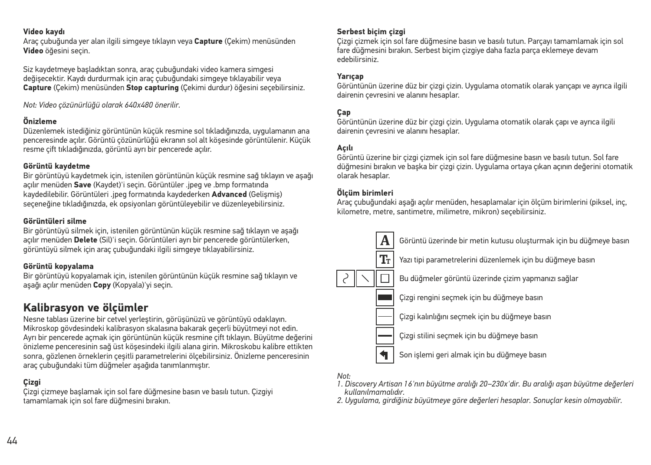#### **Video kaydı**

Araç çubuğunda yer alan ilgili simgeye tıklayın veya **Capture** (Çekim) menüsünden **Video** öğesini seçin.

Siz kaydetmeye başladıktan sonra, araç çubuğundaki video kamera simgesi değişecektir. Kaydı durdurmak için araç çubuğundaki simgeye tıklayabilir veya **Capture** (Çekim) menüsünden **Stop capturing** (Çekimi durdur) öğesini seçebilirsiniz.

*Not: Video çözünürlüğü olarak 640x480 önerilir.*

#### **Önizleme**

Düzenlemek istediğiniz görüntünün küçük resmine sol tıkladığınızda, uygulamanın ana penceresinde açılır. Görüntü çözünürlüğü ekranın sol alt köşesinde görüntülenir. Küçük resme çift tıkladığınızda, görüntü ayrı bir pencerede açılır.

#### **Görüntü kaydetme**

Bir görüntüyü kaydetmek için, istenilen görüntünün küçük resmine sağ tıklayın ve aşağı açılır menüden **Save** (Kaydet)'i seçin. Görüntüler .jpeg ve .bmp formatında kaydedilebilir. Görüntüleri .jpeg formatında kaydederken **Advanced** (Gelişmiş) seçeneğine tıkladığınızda, ek opsiyonları görüntüleyebilir ve düzenleyebilirsiniz.

#### **Görüntüleri silme**

Bir görüntüyü silmek için, istenilen görüntünün küçük resmine sağ tıklayın ve aşağı açılır menüden **Delete** (Sil)'i seçin. Görüntüleri ayrı bir pencerede görüntülerken, görüntüyü silmek için araç çubuğundaki ilgili simgeye tıklayabilirsiniz.

#### **Görüntü kopyalama**

Bir görüntüyü kopyalamak için, istenilen görüntünün küçük resmine sağ tıklayın ve aşağı açılır menüden **Copy** (Kopyala)'yi seçin.

## **Kalibrasyon ve ölçümler**

Nesne tablası üzerine bir cetvel yerleştirin, görüşünüzü ve görüntüyü odaklayın. Mikroskop gövdesindeki kalibrasyon skalasına bakarak geçerli büyütmeyi not edin. Ayrı bir pencerede açmak için görüntünün küçük resmine çift tıklayın. Büyütme değerini önizleme penceresinin sağ üst köşesindeki ilgili alana girin. Mikroskobu kalibre ettikten sonra, gözlenen örneklerin çeşitli parametrelerini ölçebilirsiniz. Önizleme penceresinin araç çubuğundaki tüm düğmeler aşağıda tanımlanmıştır.

### **Çizgi**

Çizgi çizmeye başlamak için sol fare düğmesine basın ve basılı tutun. Çizgiyi tamamlamak için sol fare düğmesini bırakın.

#### **Serbest biçim çizgi**

Çizgi çizmek için sol fare düğmesine basın ve basılı tutun. Parçayı tamamlamak için sol fare düğmesini bırakın. Serbest biçim çizgiye daha fazla parça eklemeye devam edebilirsiniz.

#### **Yarıçap**

Görüntünün üzerine düz bir çizgi çizin. Uygulama otomatik olarak yarıçapı ve ayrıca ilgili dairenin çevresini ve alanını hesaplar.

### **Çap**

Görüntünün üzerine düz bir çizgi çizin. Uygulama otomatik olarak çapı ve ayrıca ilgili dairenin çevresini ve alanını hesaplar.

#### **Açılı**

Görüntü üzerine bir çizgi çizmek için sol fare düğmesine basın ve basılı tutun. Sol fare düğmesini bırakın ve başka bir çizgi çizin. Uygulama ortaya çıkan açının değerini otomatik olarak hesaplar.

#### **Ölçüm birimleri**

Araç çubuğundaki aşağı açılır menüden, hesaplamalar için ölçüm birimlerini (piksel, inç, kilometre, metre, santimetre, milimetre, mikron) seçebilirsiniz.



#### *Not:*

- *1. Discovery Artisan 16'nın büyütme aralığı 20–230x'dir. Bu aralığı aşan büyütme değerleri kullanılmamalıdır.*
- *2. Uygulama, girdiğiniz büyütmeye göre değerleri hesaplar. Sonuçlar kesin olmayabilir.*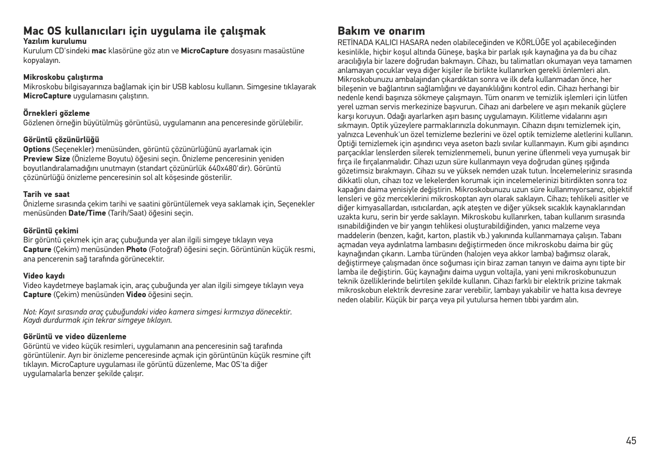#### **Mac OS kullanıcıları için uygulama ile çalışmak Yazılım kurulumu**

Kurulum CD'sindeki **mac** klasörüne göz atın ve **MicroCapture** dosyasını masaüstüne kopyalayın.

#### **Mikroskobu çalıştırma**

Mikroskobu bilgisayarınıza bağlamak için bir USB kablosu kullanın. Simgesine tıklayarak **MicroCapture** uygulamasını çalıştırın.

#### **Örnekleri gözleme**

Gözlenen örneğin büyütülmüş görüntüsü, uygulamanın ana penceresinde görülebilir.

#### **Görüntü çözünürlüğü**

**Options** (Seçenekler) menüsünden, görüntü çözünürlüğünü ayarlamak için **Preview Size** (Önizleme Boyutu) öğesini seçin. Önizleme penceresinin yeniden boyutlandıralamadığını unutmayın (standart çözünürlük 640x480'dir). Görüntü çözünürlüğü önizleme penceresinin sol alt köşesinde gösterilir.

#### **Tarih ve saat**

Önizleme sırasında çekim tarihi ve saatini görüntülemek veya saklamak için, Seçenekler menüsünden **Date/Time** (Tarih/Saat) öğesini seçin.

#### **Görüntü çekimi**

Bir görüntü çekmek için araç çubuğunda yer alan ilgili simgeye tıklayın veya **Capture** (Çekim) menüsünden **Photo** (Fotoğraf) öğesini seçin. Görüntünün küçük resmi, ana pencerenin sağ tarafında görünecektir.

#### **Video kaydı**

Video kaydetmeye başlamak için, araç çubuğunda yer alan ilgili simgeye tıklayın veya **Capture** (Çekim) menüsünden **Video** öğesini seçin.

*Not: Kayıt sırasında araç çubuğundaki video kamera simgesi kırmızıya dönecektir. Kaydı durdurmak için tekrar simgeye tıklayın.*

#### **Görüntü ve video düzenleme**

Görüntü ve video küçük resimleri, uygulamanın ana penceresinin sağ tarafında görüntülenir. Ayrı bir önizleme penceresinde açmak için görüntünün küçük resmine çift tıklayın. MicroCapture uygulaması ile görüntü düzenleme, Mac OS'ta diğer uygulamalarla benzer şekilde çalışır.

### **Bakım ve onarım**

RETİNADA KALICI HASARA neden olabileceğinden ve KÖRLÜĞE yol açabileceğinden kesinlikle, hiçbir koşul altında Güneşe, başka bir parlak ışık kaynağına ya da bu cihaz aracılığıyla bir lazere doğrudan bakmayın. Cihazı, bu talimatları okumayan veya tamamen anlamayan çocuklar veya diğer kişiler ile birlikte kullanırken gerekli önlemleri alın. Mikroskobunuzu ambalajından çıkardıktan sonra ve ilk defa kullanmadan önce, her bileşenin ve bağlantının sağlamlığını ve dayanıklılığını kontrol edin. Cihazı herhangi bir nedenle kendi başınıza sökmeye çalışmayın. Tüm onarım ve temizlik işlemleri için lütfen yerel uzman servis merkezinize başvurun. Cihazı ani darbelere ve aşırı mekanik güçlere karşı koruyun. Odağı ayarlarken aşırı basınç uygulamayın. Kilitleme vidalarını aşırı sıkmayın. Optik yüzeylere parmaklarınızla dokunmayın. Cihazın dışını temizlemek için, yalnızca Levenhuk'un özel temizleme bezlerini ve özel optik temizleme aletlerini kullanın. Optiği temizlemek için aşındırıcı veya aseton bazlı sıvılar kullanmayın. Kum gibi aşındırıcı parçacıklar lenslerden silerek temizlenmemeli, bunun yerine üflenmeli veya yumuşak bir fırça ile fırçalanmalıdır. Cihazı uzun süre kullanmayın veya doğrudan güneş ışığında gözetimsiz bırakmayın. Cihazı su ve yüksek nemden uzak tutun. İncelemeleriniz sırasında dikkatli olun, cihazı toz ve lekelerden korumak için incelemelerinizi bitirdikten sonra toz kapağını daima yenisiyle değiştirin. Mikroskobunuzu uzun süre kullanmıyorsanız, objektif lensleri ve göz merceklerini mikroskoptan ayrı olarak saklayın. Cihazı; tehlikeli asitler ve diğer kimyasallardan, ısıtıcılardan, açık ateşten ve diğer yüksek sıcaklık kaynaklarından uzakta kuru, serin bir yerde saklayın. Mikroskobu kullanırken, taban kullanım sırasında ısınabildiğinden ve bir yangın tehlikesi oluşturabildiğinden, yanıcı malzeme veya maddelerin (benzen, kağıt, karton, plastik vb.) yakınında kullanmamaya çalışın. Tabanı açmadan veya aydınlatma lambasını değiştirmeden önce mikroskobu daima bir güç kaynağından çıkarın. Lamba türünden (halojen veya akkor lamba) bağımsız olarak, değiştirmeye çalışmadan önce soğuması için biraz zaman tanıyın ve daima aynı tipte bir lamba ile değiştirin. Güç kaynağını daima uygun voltajla, yani yeni mikroskobunuzun teknik özelliklerinde belirtilen şekilde kullanın. Cihazı farklı bir elektrik prizine takmak mikroskobun elektrik devresine zarar verebilir, lambayı yakabilir ve hatta kısa devreye neden olabilir. Küçük bir parça veya pil yutulursa hemen tıbbi yardım alın.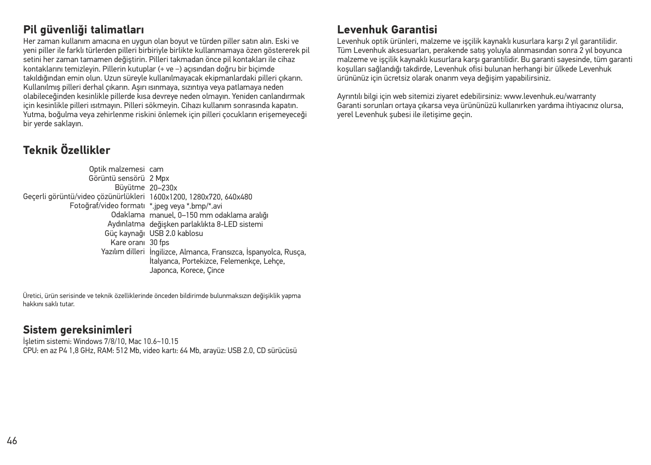## **Pil güvenliği talimatları**

Her zaman kullanım amacına en uygun olan boyut ve türden piller satın alın. Eski ve yeni piller ile farklı türlerden pilleri birbiriyle birlikte kullanmamaya özen göstererek pil setini her zaman tamamen değiştirin. Pilleri takmadan önce pil kontakları ile cihaz kontaklarını temizleyin. Pillerin kutuplar (+ ve −) açısından doğru bir biçimde takıldığından emin olun. Uzun süreyle kullanılmayacak ekipmanlardaki pilleri çıkarın. Kullanılmış pilleri derhal çıkarın. Aşırı ısınmaya, sızıntıya veya patlamaya neden olabileceğinden kesinlikle pillerde kısa devreye neden olmayın. Yeniden canlandırmak için kesinlikle pilleri ısıtmayın. Pilleri sökmeyin. Cihazı kullanım sonrasında kapatın. Yutma, boğulma veya zehirlenme riskini önlemek için pilleri çocukların erişemeyeceği bir yerde saklayın.

## **Teknik Özellikler**

| Optik malzemesi cam                                               |                                                                   |
|-------------------------------------------------------------------|-------------------------------------------------------------------|
| Görüntü sensörü 2 Mpx                                             |                                                                   |
| Büyütme 20-230x                                                   |                                                                   |
| Geçerli görüntü/video çözünürlükleri 1600x1200, 1280x720, 640x480 |                                                                   |
| Fotoăraf/video formatı *.jpeg veya *.bmp/*.avi                    |                                                                   |
|                                                                   | Odaklama manuel, 0-150 mm odaklama aralığı                        |
|                                                                   | Aydınlatma değişken parlaklıkta 8-LED sistemi                     |
|                                                                   | Güç kaynağı USB 2.0 kablosu                                       |
| Kare orani 30 fps                                                 |                                                                   |
|                                                                   | Yazılım dilleri İngilizce, Almanca, Fransızca, İspanyolca, Rusça, |
|                                                                   | Italyanca, Portekizce, Felemenkce, Lehce,                         |
|                                                                   | Japonca, Korece, Cince                                            |

Üretici, ürün serisinde ve teknik özelliklerinde önceden bildirimde bulunmaksızın değişiklik yapma hakkını saklı tutar.

## **Sistem gereksinimleri**

İşletim sistemi: Windows 7/8/10, Mac 10.6~10.15 CPU: en az P4 1,8 GHz, RAM: 512 Mb, video kartı: 64 Mb, arayüz: USB 2.0, CD sürücüsü

## **Levenhuk Garantisi**

Levenhuk optik ürünleri, malzeme ve işçilik kaynaklı kusurlara karşı 2 yıl garantilidir. Tüm Levenhuk aksesuarları, perakende satış yoluyla alınmasından sonra 2 yıl boyunca malzeme ve işçilik kaynaklı kusurlara karşı garantilidir. Bu garanti sayesinde, tüm garanti koşulları sağlandığı takdirde, Levenhuk ofisi bulunan herhangi bir ülkede Levenhuk ürününüz için ücretsiz olarak onarım veya değişim yapabilirsiniz.

Garanti sorunları ortaya çıkarsa veya ürününüzü kullanırken yardıma ihtiyacınız olursa, yerel Levenhuk şubesi ile iletişime geçin. Ayrıntılı bilgi için web sitemizi ziyaret edebilirsiniz: www.levenhuk.eu/warranty